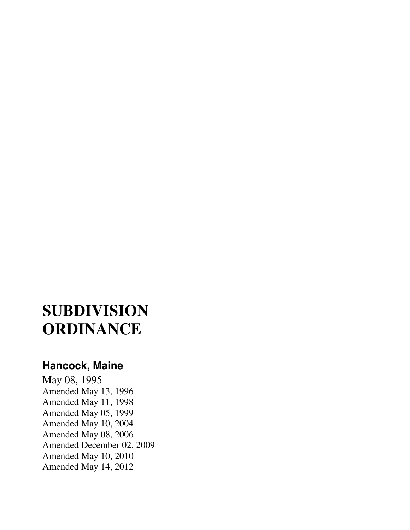# **SUBDIVISION ORDINANCE**

# **Hancock, Maine**

May 08, 1995 Amended May 13, 1996 Amended May 11, 1998 Amended May 05, 1999 Amended May 10, 2004 Amended May 08, 2006 Amended December 02, 2009 Amended May 10, 2010 Amended May 14, 2012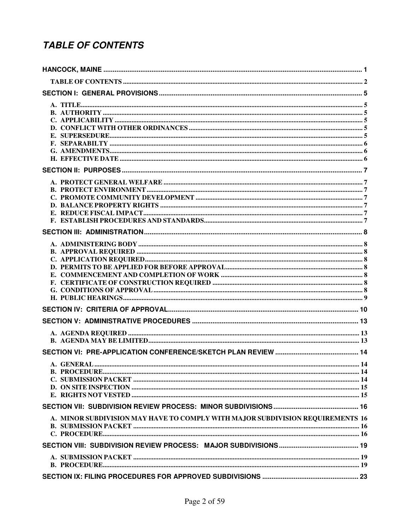# **TABLE OF CONTENTS**

| A. GENERAL                                                                     | .14 |
|--------------------------------------------------------------------------------|-----|
|                                                                                |     |
|                                                                                |     |
|                                                                                |     |
|                                                                                |     |
|                                                                                |     |
| A. MINOR SUBDIVISION MAY HAVE TO COMPLY WITH MAJOR SUBDIVISION REQUIREMENTS 16 |     |
|                                                                                |     |
|                                                                                |     |
|                                                                                |     |
|                                                                                |     |
|                                                                                |     |
|                                                                                |     |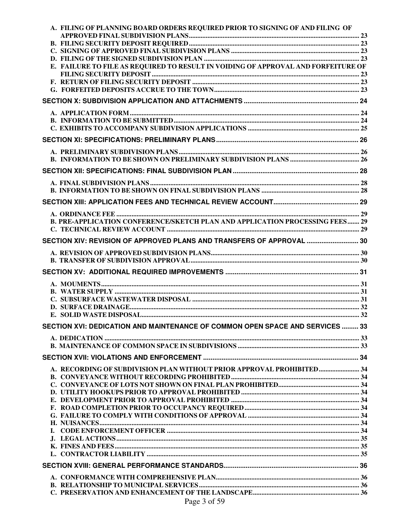| A. FILING OF PLANNING BOARD ORDERS REQUIRED PRIOR TO SIGNING OF AND FILING OF     |  |
|-----------------------------------------------------------------------------------|--|
|                                                                                   |  |
|                                                                                   |  |
|                                                                                   |  |
| E. FAILURE TO FILE AS REQUIRED TO RESULT IN VOIDING OF APPROVAL AND FORFEITURE OF |  |
|                                                                                   |  |
|                                                                                   |  |
|                                                                                   |  |
|                                                                                   |  |
|                                                                                   |  |
|                                                                                   |  |
|                                                                                   |  |
|                                                                                   |  |
|                                                                                   |  |
|                                                                                   |  |
|                                                                                   |  |
|                                                                                   |  |
|                                                                                   |  |
|                                                                                   |  |
| B. PRE-APPLICATION CONFERENCE/SKETCH PLAN AND APPLICATION PROCESSING FEES 29      |  |
|                                                                                   |  |
| SECTION XIV: REVISION OF APPROVED PLANS AND TRANSFERS OF APPROVAL  30             |  |
|                                                                                   |  |
|                                                                                   |  |
|                                                                                   |  |
|                                                                                   |  |
|                                                                                   |  |
|                                                                                   |  |
|                                                                                   |  |
|                                                                                   |  |
| SECTION XVI: DEDICATION AND MAINTENANCE OF COMMON OPEN SPACE AND SERVICES  33     |  |
|                                                                                   |  |
|                                                                                   |  |
|                                                                                   |  |
|                                                                                   |  |
| A. RECORDING OF SUBDIVISION PLAN WITHOUT PRIOR APPROVAL PROHIBITED 34             |  |
|                                                                                   |  |
|                                                                                   |  |
|                                                                                   |  |
|                                                                                   |  |
|                                                                                   |  |
|                                                                                   |  |
|                                                                                   |  |
|                                                                                   |  |
|                                                                                   |  |
|                                                                                   |  |
|                                                                                   |  |
| $D_{\text{max}}$ $2.650$                                                          |  |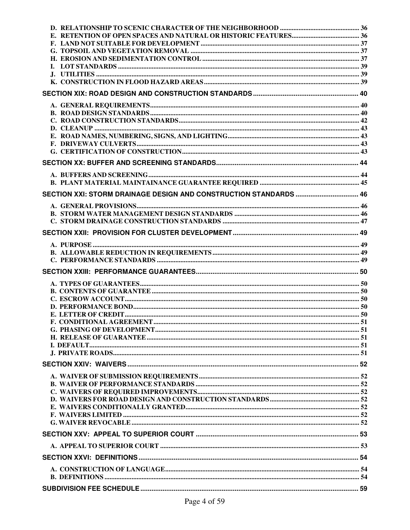| SECTION XXI: STORM DRAINAGE DESIGN AND CONSTRUCTION STANDARDS  46 |  |
|-------------------------------------------------------------------|--|
|                                                                   |  |
|                                                                   |  |
|                                                                   |  |
|                                                                   |  |
|                                                                   |  |
|                                                                   |  |
|                                                                   |  |
|                                                                   |  |
|                                                                   |  |
|                                                                   |  |
|                                                                   |  |
|                                                                   |  |
|                                                                   |  |
|                                                                   |  |
|                                                                   |  |
|                                                                   |  |
|                                                                   |  |
|                                                                   |  |
|                                                                   |  |
|                                                                   |  |
|                                                                   |  |
|                                                                   |  |
|                                                                   |  |
|                                                                   |  |
|                                                                   |  |
|                                                                   |  |
|                                                                   |  |
|                                                                   |  |
|                                                                   |  |
|                                                                   |  |
|                                                                   |  |
|                                                                   |  |
|                                                                   |  |
|                                                                   |  |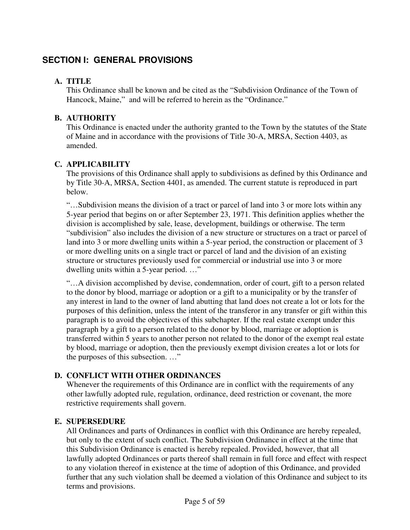# **SECTION I: GENERAL PROVISIONS**

### **A. TITLE**

This Ordinance shall be known and be cited as the "Subdivision Ordinance of the Town of Hancock, Maine," and will be referred to herein as the "Ordinance."

### **B. AUTHORITY**

This Ordinance is enacted under the authority granted to the Town by the statutes of the State of Maine and in accordance with the provisions of Title 30-A, MRSA, Section 4403, as amended.

### **C. APPLICABILITY**

The provisions of this Ordinance shall apply to subdivisions as defined by this Ordinance and by Title 30-A, MRSA, Section 4401, as amended. The current statute is reproduced in part below.

"…Subdivision means the division of a tract or parcel of land into 3 or more lots within any 5-year period that begins on or after September 23, 1971. This definition applies whether the division is accomplished by sale, lease, development, buildings or otherwise. The term "subdivision" also includes the division of a new structure or structures on a tract or parcel of land into 3 or more dwelling units within a 5-year period, the construction or placement of 3 or more dwelling units on a single tract or parcel of land and the division of an existing structure or structures previously used for commercial or industrial use into 3 or more dwelling units within a 5-year period. …"

"…A division accomplished by devise, condemnation, order of court, gift to a person related to the donor by blood, marriage or adoption or a gift to a municipality or by the transfer of any interest in land to the owner of land abutting that land does not create a lot or lots for the purposes of this definition, unless the intent of the transferor in any transfer or gift within this paragraph is to avoid the objectives of this subchapter. If the real estate exempt under this paragraph by a gift to a person related to the donor by blood, marriage or adoption is transferred within 5 years to another person not related to the donor of the exempt real estate by blood, marriage or adoption, then the previously exempt division creates a lot or lots for the purposes of this subsection. …"

### **D. CONFLICT WITH OTHER ORDINANCES**

Whenever the requirements of this Ordinance are in conflict with the requirements of any other lawfully adopted rule, regulation, ordinance, deed restriction or covenant, the more restrictive requirements shall govern.

### **E. SUPERSEDURE**

All Ordinances and parts of Ordinances in conflict with this Ordinance are hereby repealed, but only to the extent of such conflict. The Subdivision Ordinance in effect at the time that this Subdivision Ordinance is enacted is hereby repealed. Provided, however, that all lawfully adopted Ordinances or parts thereof shall remain in full force and effect with respect to any violation thereof in existence at the time of adoption of this Ordinance, and provided further that any such violation shall be deemed a violation of this Ordinance and subject to its terms and provisions.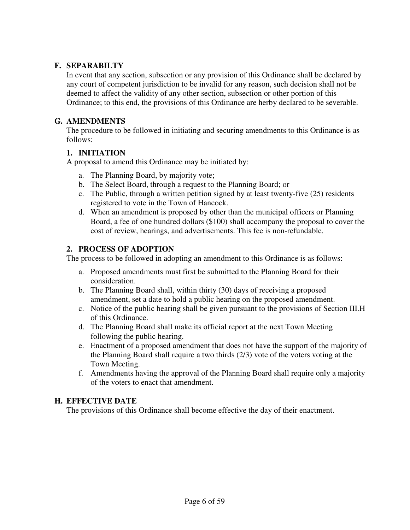### **F. SEPARABILTY**

In event that any section, subsection or any provision of this Ordinance shall be declared by any court of competent jurisdiction to be invalid for any reason, such decision shall not be deemed to affect the validity of any other section, subsection or other portion of this Ordinance; to this end, the provisions of this Ordinance are herby declared to be severable.

#### **G. AMENDMENTS**

The procedure to be followed in initiating and securing amendments to this Ordinance is as follows:

### **1. INITIATION**

A proposal to amend this Ordinance may be initiated by:

- a. The Planning Board, by majority vote;
- b. The Select Board, through a request to the Planning Board; or
- c. The Public, through a written petition signed by at least twenty-five (25) residents registered to vote in the Town of Hancock.
- d. When an amendment is proposed by other than the municipal officers or Planning Board, a fee of one hundred dollars (\$100) shall accompany the proposal to cover the cost of review, hearings, and advertisements. This fee is non-refundable.

### **2. PROCESS OF ADOPTION**

The process to be followed in adopting an amendment to this Ordinance is as follows:

- a. Proposed amendments must first be submitted to the Planning Board for their consideration.
- b. The Planning Board shall, within thirty (30) days of receiving a proposed amendment, set a date to hold a public hearing on the proposed amendment.
- c. Notice of the public hearing shall be given pursuant to the provisions of Section III.H of this Ordinance.
- d. The Planning Board shall make its official report at the next Town Meeting following the public hearing.
- e. Enactment of a proposed amendment that does not have the support of the majority of the Planning Board shall require a two thirds (2/3) vote of the voters voting at the Town Meeting.
- f. Amendments having the approval of the Planning Board shall require only a majority of the voters to enact that amendment.

#### **H. EFFECTIVE DATE**

The provisions of this Ordinance shall become effective the day of their enactment.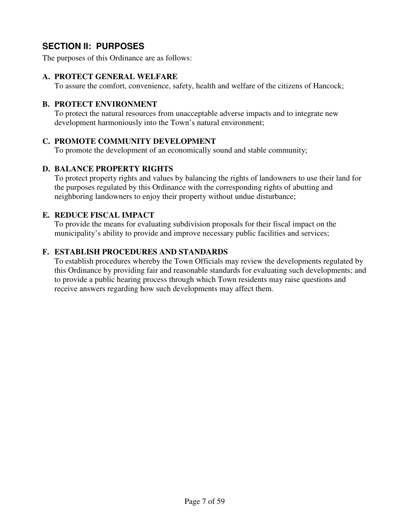# **SECTION II: PURPOSES**

The purposes of this Ordinance are as follows:

#### **A. PROTECT GENERAL WELFARE**

To assure the comfort, convenience, safety, health and welfare of the citizens of Hancock;

#### **B. PROTECT ENVIRONMENT**

To protect the natural resources from unacceptable adverse impacts and to integrate new development harmoniously into the Town's natural environment;

### **C. PROMOTE COMMUNITY DEVELOPMENT**

To promote the development of an economically sound and stable community;

#### **D. BALANCE PROPERTY RIGHTS**

To protect property rights and values by balancing the rights of landowners to use their land for the purposes regulated by this Ordinance with the corresponding rights of abutting and neighboring landowners to enjoy their property without undue disturbance;

### **E. REDUCE FISCAL IMPACT**

To provide the means for evaluating subdivision proposals for their fiscal impact on the municipality's ability to provide and improve necessary public facilities and services;

#### **F. ESTABLISH PROCEDURES AND STANDARDS**

To establish procedures whereby the Town Officials may review the developments regulated by this Ordinance by providing fair and reasonable standards for evaluating such developments; and to provide a public hearing process through which Town residents may raise questions and receive answers regarding how such developments may affect them.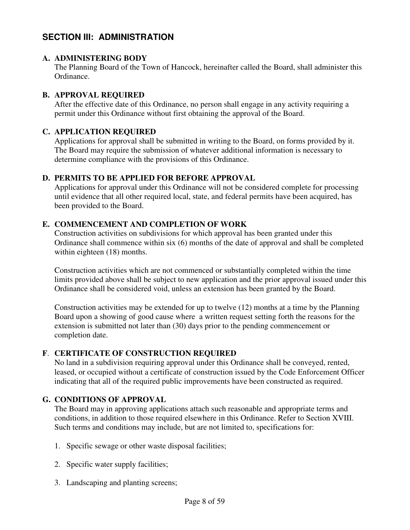# **SECTION III: ADMINISTRATION**

### **A. ADMINISTERING BODY**

The Planning Board of the Town of Hancock, hereinafter called the Board, shall administer this Ordinance.

### **B. APPROVAL REQUIRED**

After the effective date of this Ordinance, no person shall engage in any activity requiring a permit under this Ordinance without first obtaining the approval of the Board.

### **C. APPLICATION REQUIRED**

Applications for approval shall be submitted in writing to the Board, on forms provided by it. The Board may require the submission of whatever additional information is necessary to determine compliance with the provisions of this Ordinance.

### **D. PERMITS TO BE APPLIED FOR BEFORE APPROVAL**

Applications for approval under this Ordinance will not be considered complete for processing until evidence that all other required local, state, and federal permits have been acquired, has been provided to the Board.

### **E. COMMENCEMENT AND COMPLETION OF WORK**

Construction activities on subdivisions for which approval has been granted under this Ordinance shall commence within six (6) months of the date of approval and shall be completed within eighteen (18) months.

Construction activities which are not commenced or substantially completed within the time limits provided above shall be subject to new application and the prior approval issued under this Ordinance shall be considered void, unless an extension has been granted by the Board.

Construction activities may be extended for up to twelve (12) months at a time by the Planning Board upon a showing of good cause where a written request setting forth the reasons for the extension is submitted not later than (30) days prior to the pending commencement or completion date.

### **F**. **CERTIFICATE OF CONSTRUCTION REQUIRED**

No land in a subdivision requiring approval under this Ordinance shall be conveyed, rented, leased, or occupied without a certificate of construction issued by the Code Enforcement Officer indicating that all of the required public improvements have been constructed as required.

### **G. CONDITIONS OF APPROVAL**

The Board may in approving applications attach such reasonable and appropriate terms and conditions, in addition to those required elsewhere in this Ordinance. Refer to Section XVIII. Such terms and conditions may include, but are not limited to, specifications for:

- 1. Specific sewage or other waste disposal facilities;
- 2. Specific water supply facilities;
- 3. Landscaping and planting screens;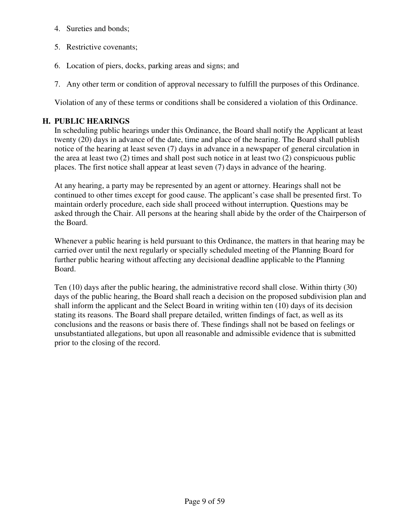- 4. Sureties and bonds;
- 5. Restrictive covenants;
- 6. Location of piers, docks, parking areas and signs; and
- 7. Any other term or condition of approval necessary to fulfill the purposes of this Ordinance.

Violation of any of these terms or conditions shall be considered a violation of this Ordinance.

### **H. PUBLIC HEARINGS**

In scheduling public hearings under this Ordinance, the Board shall notify the Applicant at least twenty (20) days in advance of the date, time and place of the hearing. The Board shall publish notice of the hearing at least seven (7) days in advance in a newspaper of general circulation in the area at least two (2) times and shall post such notice in at least two (2) conspicuous public places. The first notice shall appear at least seven (7) days in advance of the hearing.

At any hearing, a party may be represented by an agent or attorney. Hearings shall not be continued to other times except for good cause. The applicant's case shall be presented first. To maintain orderly procedure, each side shall proceed without interruption. Questions may be asked through the Chair. All persons at the hearing shall abide by the order of the Chairperson of the Board.

Whenever a public hearing is held pursuant to this Ordinance, the matters in that hearing may be carried over until the next regularly or specially scheduled meeting of the Planning Board for further public hearing without affecting any decisional deadline applicable to the Planning Board.

Ten (10) days after the public hearing, the administrative record shall close. Within thirty (30) days of the public hearing, the Board shall reach a decision on the proposed subdivision plan and shall inform the applicant and the Select Board in writing within ten (10) days of its decision stating its reasons. The Board shall prepare detailed, written findings of fact, as well as its conclusions and the reasons or basis there of. These findings shall not be based on feelings or unsubstantiated allegations, but upon all reasonable and admissible evidence that is submitted prior to the closing of the record.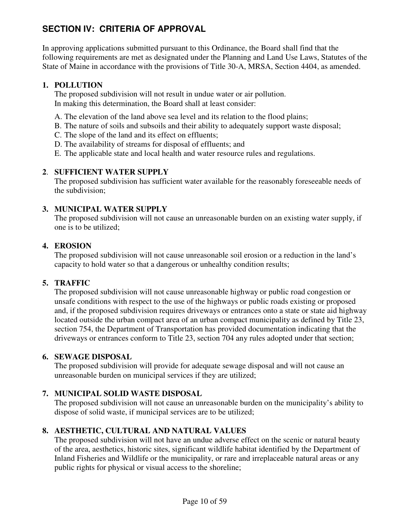# **SECTION IV: CRITERIA OF APPROVAL**

In approving applications submitted pursuant to this Ordinance, the Board shall find that the following requirements are met as designated under the Planning and Land Use Laws, Statutes of the State of Maine in accordance with the provisions of Title 30-A, MRSA, Section 4404, as amended.

### **1. POLLUTION**

The proposed subdivision will not result in undue water or air pollution. In making this determination, the Board shall at least consider:

- A. The elevation of the land above sea level and its relation to the flood plains;
- B. The nature of soils and subsoils and their ability to adequately support waste disposal;
- C. The slope of the land and its effect on effluents;
- D. The availability of streams for disposal of effluents; and
- E. The applicable state and local health and water resource rules and regulations.

### **2**. **SUFFICIENT WATER SUPPLY**

The proposed subdivision has sufficient water available for the reasonably foreseeable needs of the subdivision;

### **3. MUNICIPAL WATER SUPPLY**

The proposed subdivision will not cause an unreasonable burden on an existing water supply, if one is to be utilized;

### **4. EROSION**

The proposed subdivision will not cause unreasonable soil erosion or a reduction in the land's capacity to hold water so that a dangerous or unhealthy condition results;

### **5. TRAFFIC**

The proposed subdivision will not cause unreasonable highway or public road congestion or unsafe conditions with respect to the use of the highways or public roads existing or proposed and, if the proposed subdivision requires driveways or entrances onto a state or state aid highway located outside the urban compact area of an urban compact municipality as defined by Title 23, section 754, the Department of Transportation has provided documentation indicating that the driveways or entrances conform to Title 23, section 704 any rules adopted under that section;

### **6. SEWAGE DISPOSAL**

The proposed subdivision will provide for adequate sewage disposal and will not cause an unreasonable burden on municipal services if they are utilized;

### **7. MUNICIPAL SOLID WASTE DISPOSAL**

 The proposed subdivision will not cause an unreasonable burden on the municipality's ability to dispose of solid waste, if municipal services are to be utilized;

### **8. AESTHETIC, CULTURAL AND NATURAL VALUES**

The proposed subdivision will not have an undue adverse effect on the scenic or natural beauty of the area, aesthetics, historic sites, significant wildlife habitat identified by the Department of Inland Fisheries and Wildlife or the municipality, or rare and irreplaceable natural areas or any public rights for physical or visual access to the shoreline;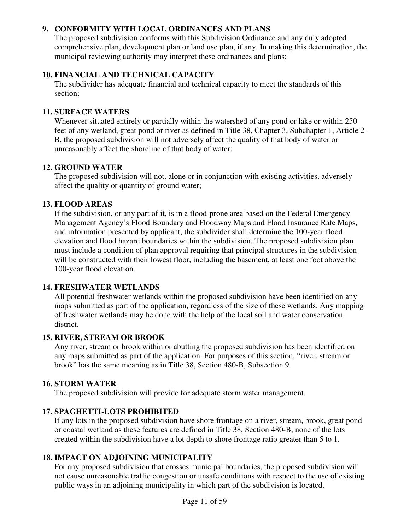### **9. CONFORMITY WITH LOCAL ORDINANCES AND PLANS**

The proposed subdivision conforms with this Subdivision Ordinance and any duly adopted comprehensive plan, development plan or land use plan, if any. In making this determination, the municipal reviewing authority may interpret these ordinances and plans;

### **10. FINANCIAL AND TECHNICAL CAPACITY**

The subdivider has adequate financial and technical capacity to meet the standards of this section;

### **11. SURFACE WATERS**

Whenever situated entirely or partially within the watershed of any pond or lake or within 250 feet of any wetland, great pond or river as defined in Title 38, Chapter 3, Subchapter 1, Article 2- B, the proposed subdivision will not adversely affect the quality of that body of water or unreasonably affect the shoreline of that body of water;

### **12. GROUND WATER**

The proposed subdivision will not, alone or in conjunction with existing activities, adversely affect the quality or quantity of ground water;

### **13. FLOOD AREAS**

If the subdivision, or any part of it, is in a flood-prone area based on the Federal Emergency Management Agency's Flood Boundary and Floodway Maps and Flood Insurance Rate Maps, and information presented by applicant, the subdivider shall determine the 100-year flood elevation and flood hazard boundaries within the subdivision. The proposed subdivision plan must include a condition of plan approval requiring that principal structures in the subdivision will be constructed with their lowest floor, including the basement, at least one foot above the 100-year flood elevation.

### **14. FRESHWATER WETLANDS**

All potential freshwater wetlands within the proposed subdivision have been identified on any maps submitted as part of the application, regardless of the size of these wetlands. Any mapping of freshwater wetlands may be done with the help of the local soil and water conservation district.

### **15. RIVER, STREAM OR BROOK**

Any river, stream or brook within or abutting the proposed subdivision has been identified on any maps submitted as part of the application. For purposes of this section, "river, stream or brook" has the same meaning as in Title 38, Section 480-B, Subsection 9.

### **16. STORM WATER**

The proposed subdivision will provide for adequate storm water management.

### **17. SPAGHETTI-LOTS PROHIBITED**

If any lots in the proposed subdivision have shore frontage on a river, stream, brook, great pond or coastal wetland as these features are defined in Title 38, Section 480-B, none of the lots created within the subdivision have a lot depth to shore frontage ratio greater than 5 to 1.

### **18. IMPACT ON ADJOINING MUNICIPALITY**

For any proposed subdivision that crosses municipal boundaries, the proposed subdivision will not cause unreasonable traffic congestion or unsafe conditions with respect to the use of existing public ways in an adjoining municipality in which part of the subdivision is located.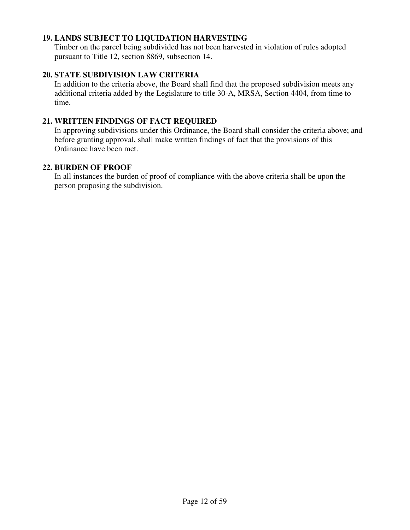#### **19. LANDS SUBJECT TO LIQUIDATION HARVESTING**

Timber on the parcel being subdivided has not been harvested in violation of rules adopted pursuant to Title 12, section 8869, subsection 14.

#### **20. STATE SUBDIVISION LAW CRITERIA**

In addition to the criteria above, the Board shall find that the proposed subdivision meets any additional criteria added by the Legislature to title 30-A, MRSA, Section 4404, from time to time.

#### **21. WRITTEN FINDINGS OF FACT REQUIRED**

In approving subdivisions under this Ordinance, the Board shall consider the criteria above; and before granting approval, shall make written findings of fact that the provisions of this Ordinance have been met.

#### **22. BURDEN OF PROOF**

In all instances the burden of proof of compliance with the above criteria shall be upon the person proposing the subdivision.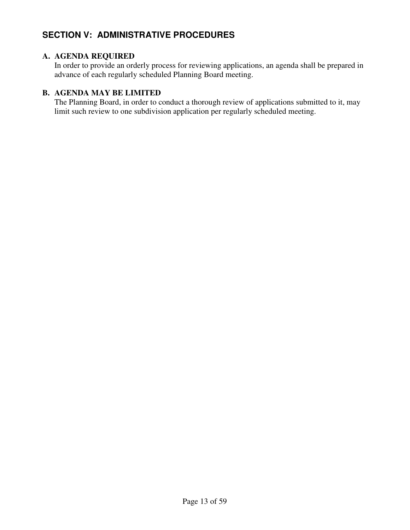# **SECTION V: ADMINISTRATIVE PROCEDURES**

### **A. AGENDA REQUIRED**

In order to provide an orderly process for reviewing applications, an agenda shall be prepared in advance of each regularly scheduled Planning Board meeting.

### **B. AGENDA MAY BE LIMITED**

The Planning Board, in order to conduct a thorough review of applications submitted to it, may limit such review to one subdivision application per regularly scheduled meeting.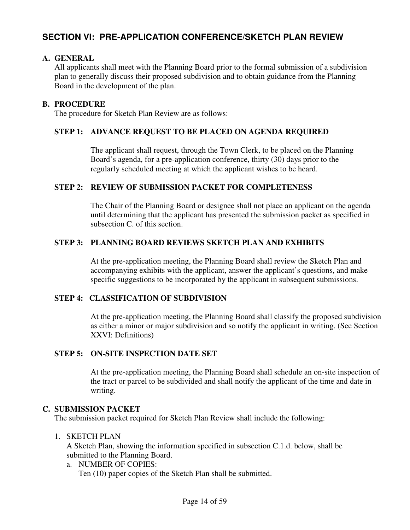# **SECTION VI: PRE-APPLICATION CONFERENCE/SKETCH PLAN REVIEW**

#### **A. GENERAL**

All applicants shall meet with the Planning Board prior to the formal submission of a subdivision plan to generally discuss their proposed subdivision and to obtain guidance from the Planning Board in the development of the plan.

#### **B. PROCEDURE**

The procedure for Sketch Plan Review are as follows:

#### **STEP 1: ADVANCE REQUEST TO BE PLACED ON AGENDA REQUIRED**

The applicant shall request, through the Town Clerk, to be placed on the Planning Board's agenda, for a pre-application conference, thirty (30) days prior to the regularly scheduled meeting at which the applicant wishes to be heard.

#### **STEP 2: REVIEW OF SUBMISSION PACKET FOR COMPLETENESS**

 The Chair of the Planning Board or designee shall not place an applicant on the agenda until determining that the applicant has presented the submission packet as specified in subsection C. of this section.

### **STEP 3: PLANNING BOARD REVIEWS SKETCH PLAN AND EXHIBITS**

 At the pre-application meeting, the Planning Board shall review the Sketch Plan and accompanying exhibits with the applicant, answer the applicant's questions, and make specific suggestions to be incorporated by the applicant in subsequent submissions.

### **STEP 4: CLASSIFICATION OF SUBDIVISION**

At the pre-application meeting, the Planning Board shall classify the proposed subdivision as either a minor or major subdivision and so notify the applicant in writing. (See Section XXVI: Definitions)

### **STEP 5: ON-SITE INSPECTION DATE SET**

 At the pre-application meeting, the Planning Board shall schedule an on-site inspection of the tract or parcel to be subdivided and shall notify the applicant of the time and date in writing.

#### **C. SUBMISSION PACKET**

The submission packet required for Sketch Plan Review shall include the following:

#### 1. SKETCH PLAN

A Sketch Plan, showing the information specified in subsection C.1.d. below, shall be submitted to the Planning Board.

a. NUMBER OF COPIES: Ten (10) paper copies of the Sketch Plan shall be submitted.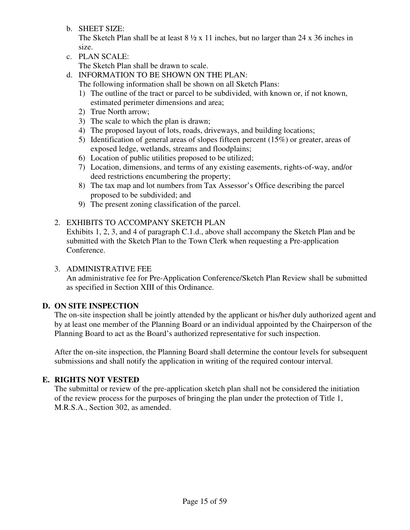b. SHEET SIZE:

The Sketch Plan shall be at least  $8 \frac{1}{2} \times 11$  inches, but no larger than 24 x 36 inches in size.

c. PLAN SCALE:

The Sketch Plan shall be drawn to scale.

d. INFORMATION TO BE SHOWN ON THE PLAN:

- The following information shall be shown on all Sketch Plans:
- 1) The outline of the tract or parcel to be subdivided, with known or, if not known, estimated perimeter dimensions and area;
- 2) True North arrow;
- 3) The scale to which the plan is drawn;
- 4) The proposed layout of lots, roads, driveways, and building locations;
- 5) Identification of general areas of slopes fifteen percent (15%) or greater, areas of exposed ledge, wetlands, streams and floodplains;
- 6) Location of public utilities proposed to be utilized;
- 7) Location, dimensions, and terms of any existing easements, rights-of-way, and/or deed restrictions encumbering the property;
- 8) The tax map and lot numbers from Tax Assessor's Office describing the parcel proposed to be subdivided; and
- 9) The present zoning classification of the parcel.
- 2. EXHIBITS TO ACCOMPANY SKETCH PLAN

Exhibits 1, 2, 3, and 4 of paragraph C.1.d., above shall accompany the Sketch Plan and be submitted with the Sketch Plan to the Town Clerk when requesting a Pre-application Conference.

### 3. ADMINISTRATIVE FEE

 An administrative fee for Pre-Application Conference/Sketch Plan Review shall be submitted as specified in Section XIII of this Ordinance.

### **D. ON SITE INSPECTION**

The on-site inspection shall be jointly attended by the applicant or his/her duly authorized agent and by at least one member of the Planning Board or an individual appointed by the Chairperson of the Planning Board to act as the Board's authorized representative for such inspection.

After the on-site inspection, the Planning Board shall determine the contour levels for subsequent submissions and shall notify the application in writing of the required contour interval.

### **E. RIGHTS NOT VESTED**

The submittal or review of the pre-application sketch plan shall not be considered the initiation of the review process for the purposes of bringing the plan under the protection of Title 1, M.R.S.A., Section 302, as amended.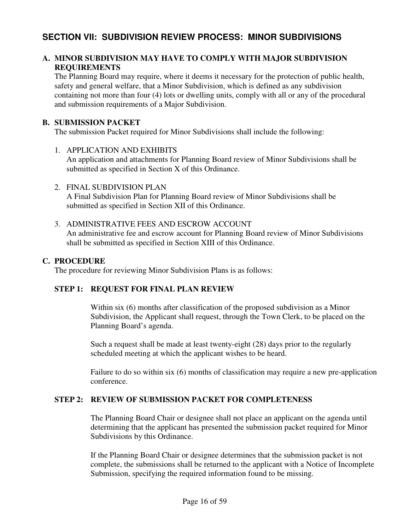### **SECTION VII: SUBDIVISION REVIEW PROCESS: MINOR SUBDIVISIONS**

### **A. MINOR SUBDIVISION MAY HAVE TO COMPLY WITH MAJOR SUBDIVISION REQUIREMENTS**

The Planning Board may require, where it deems it necessary for the protection of public health, safety and general welfare, that a Minor Subdivision, which is defined as any subdivision containing not more than four (4) lots or dwelling units, comply with all or any of the procedural and submission requirements of a Major Subdivision.

#### **B. SUBMISSION PACKET**

The submission Packet required for Minor Subdivisions shall include the following:

- 1. APPLICATION AND EXHIBITS An application and attachments for Planning Board review of Minor Subdivisions shall be submitted as specified in Section X of this Ordinance.
- 2. FINAL SUBDIVISION PLAN A Final Subdivision Plan for Planning Board review of Minor Subdivisions shall be submitted as specified in Section XII of this Ordinance.
- 3. ADMINISTRATIVE FEES AND ESCROW ACCOUNT An administrative fee and escrow account for Planning Board review of Minor Subdivisions shall be submitted as specified in Section XIII of this Ordinance.

#### **C. PROCEDURE**

The procedure for reviewing Minor Subdivision Plans is as follows:

### **STEP 1: REQUEST FOR FINAL PLAN REVIEW**

Within six (6) months after classification of the proposed subdivision as a Minor Subdivision, the Applicant shall request, through the Town Clerk, to be placed on the Planning Board's agenda.

Such a request shall be made at least twenty-eight (28) days prior to the regularly scheduled meeting at which the applicant wishes to be heard.

Failure to do so within six (6) months of classification may require a new pre-application conference.

### **STEP 2: REVIEW OF SUBMISSION PACKET FOR COMPLETENESS**

The Planning Board Chair or designee shall not place an applicant on the agenda until determining that the applicant has presented the submission packet required for Minor Subdivisions by this Ordinance.

If the Planning Board Chair or designee determines that the submission packet is not complete, the submissions shall be returned to the applicant with a Notice of Incomplete Submission, specifying the required information found to be missing.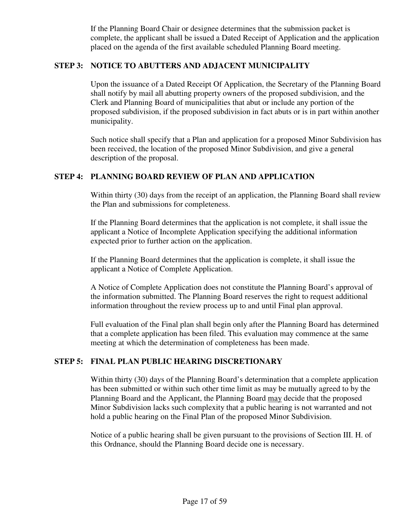If the Planning Board Chair or designee determines that the submission packet is complete, the applicant shall be issued a Dated Receipt of Application and the application placed on the agenda of the first available scheduled Planning Board meeting.

#### **STEP 3: NOTICE TO ABUTTERS AND ADJACENT MUNICIPALITY**

Upon the issuance of a Dated Receipt Of Application, the Secretary of the Planning Board shall notify by mail all abutting property owners of the proposed subdivision, and the Clerk and Planning Board of municipalities that abut or include any portion of the proposed subdivision, if the proposed subdivision in fact abuts or is in part within another municipality.

Such notice shall specify that a Plan and application for a proposed Minor Subdivision has been received, the location of the proposed Minor Subdivision, and give a general description of the proposal.

#### **STEP 4: PLANNING BOARD REVIEW OF PLAN AND APPLICATION**

 Within thirty (30) days from the receipt of an application, the Planning Board shall review the Plan and submissions for completeness.

If the Planning Board determines that the application is not complete, it shall issue the applicant a Notice of Incomplete Application specifying the additional information expected prior to further action on the application.

If the Planning Board determines that the application is complete, it shall issue the applicant a Notice of Complete Application.

A Notice of Complete Application does not constitute the Planning Board's approval of the information submitted. The Planning Board reserves the right to request additional information throughout the review process up to and until Final plan approval.

Full evaluation of the Final plan shall begin only after the Planning Board has determined that a complete application has been filed. This evaluation may commence at the same meeting at which the determination of completeness has been made.

### **STEP 5: FINAL PLAN PUBLIC HEARING DISCRETIONARY**

 Within thirty (30) days of the Planning Board's determination that a complete application has been submitted or within such other time limit as may be mutually agreed to by the Planning Board and the Applicant, the Planning Board may decide that the proposed Minor Subdivision lacks such complexity that a public hearing is not warranted and not hold a public hearing on the Final Plan of the proposed Minor Subdivision.

Notice of a public hearing shall be given pursuant to the provisions of Section III. H. of this Ordnance, should the Planning Board decide one is necessary.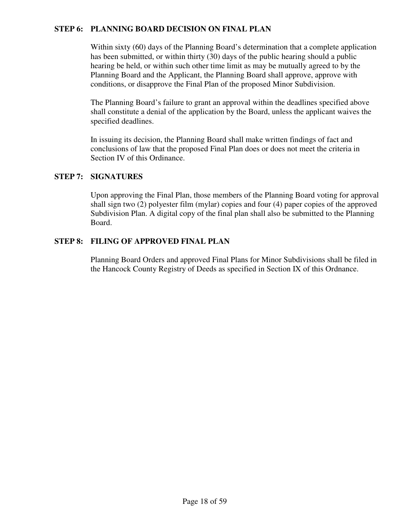### **STEP 6: PLANNING BOARD DECISION ON FINAL PLAN**

 Within sixty (60) days of the Planning Board's determination that a complete application has been submitted, or within thirty (30) days of the public hearing should a public hearing be held, or within such other time limit as may be mutually agreed to by the Planning Board and the Applicant, the Planning Board shall approve, approve with conditions, or disapprove the Final Plan of the proposed Minor Subdivision.

 The Planning Board's failure to grant an approval within the deadlines specified above shall constitute a denial of the application by the Board, unless the applicant waives the specified deadlines.

 In issuing its decision, the Planning Board shall make written findings of fact and conclusions of law that the proposed Final Plan does or does not meet the criteria in Section IV of this Ordinance.

#### **STEP 7: SIGNATURES**

Upon approving the Final Plan, those members of the Planning Board voting for approval shall sign two (2) polyester film (mylar) copies and four (4) paper copies of the approved Subdivision Plan. A digital copy of the final plan shall also be submitted to the Planning Board.

#### **STEP 8: FILING OF APPROVED FINAL PLAN**

 Planning Board Orders and approved Final Plans for Minor Subdivisions shall be filed in the Hancock County Registry of Deeds as specified in Section IX of this Ordnance.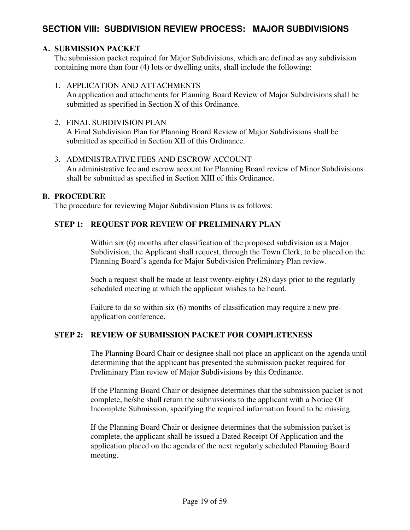# **SECTION VIII: SUBDIVISION REVIEW PROCESS: MAJOR SUBDIVISIONS**

### **A. SUBMISSION PACKET**

The submission packet required for Major Subdivisions, which are defined as any subdivision containing more than four (4) lots or dwelling units, shall include the following:

#### 1. APPLICATION AND ATTACHMENTS

An application and attachments for Planning Board Review of Major Subdivisions shall be submitted as specified in Section X of this Ordinance.

#### 2. FINAL SUBDIVISION PLAN

A Final Subdivision Plan for Planning Board Review of Major Subdivisions shall be submitted as specified in Section XII of this Ordinance.

#### 3. ADMINISTRATIVE FEES AND ESCROW ACCOUNT

An administrative fee and escrow account for Planning Board review of Minor Subdivisions shall be submitted as specified in Section XIII of this Ordinance.

#### **B. PROCEDURE**

The procedure for reviewing Major Subdivision Plans is as follows:

### **STEP 1: REQUEST FOR REVIEW OF PRELIMINARY PLAN**

Within six (6) months after classification of the proposed subdivision as a Major Subdivision, the Applicant shall request, through the Town Clerk, to be placed on the Planning Board's agenda for Major Subdivision Preliminary Plan review.

Such a request shall be made at least twenty-eighty (28) days prior to the regularly scheduled meeting at which the applicant wishes to be heard.

Failure to do so within six (6) months of classification may require a new preapplication conference.

### **STEP 2: REVIEW OF SUBMISSION PACKET FOR COMPLETENESS**

 The Planning Board Chair or designee shall not place an applicant on the agenda until determining that the applicant has presented the submission packet required for Preliminary Plan review of Major Subdivisions by this Ordinance.

If the Planning Board Chair or designee determines that the submission packet is not complete, he/she shall return the submissions to the applicant with a Notice Of Incomplete Submission, specifying the required information found to be missing.

If the Planning Board Chair or designee determines that the submission packet is complete, the applicant shall be issued a Dated Receipt Of Application and the application placed on the agenda of the next regularly scheduled Planning Board meeting.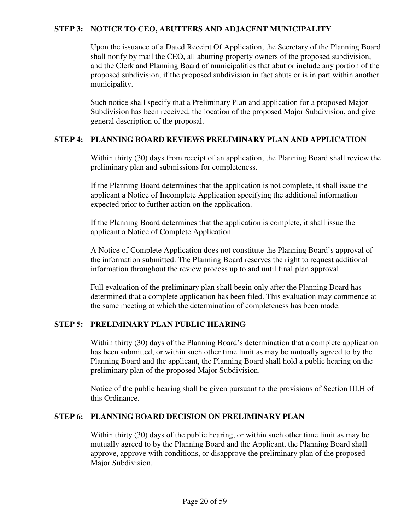#### **STEP 3: NOTICE TO CEO, ABUTTERS AND ADJACENT MUNICIPALITY**

 Upon the issuance of a Dated Receipt Of Application, the Secretary of the Planning Board shall notify by mail the CEO, all abutting property owners of the proposed subdivision, and the Clerk and Planning Board of municipalities that abut or include any portion of the proposed subdivision, if the proposed subdivision in fact abuts or is in part within another municipality.

 Such notice shall specify that a Preliminary Plan and application for a proposed Major Subdivision has been received, the location of the proposed Major Subdivision, and give general description of the proposal.

#### **STEP 4: PLANNING BOARD REVIEWS PRELIMINARY PLAN AND APPLICATION**

 Within thirty (30) days from receipt of an application, the Planning Board shall review the preliminary plan and submissions for completeness.

 If the Planning Board determines that the application is not complete, it shall issue the applicant a Notice of Incomplete Application specifying the additional information expected prior to further action on the application.

 If the Planning Board determines that the application is complete, it shall issue the applicant a Notice of Complete Application.

 A Notice of Complete Application does not constitute the Planning Board's approval of the information submitted. The Planning Board reserves the right to request additional information throughout the review process up to and until final plan approval.

Full evaluation of the preliminary plan shall begin only after the Planning Board has determined that a complete application has been filed. This evaluation may commence at the same meeting at which the determination of completeness has been made.

#### **STEP 5: PRELIMINARY PLAN PUBLIC HEARING**

 Within thirty (30) days of the Planning Board's determination that a complete application has been submitted, or within such other time limit as may be mutually agreed to by the Planning Board and the applicant, the Planning Board shall hold a public hearing on the preliminary plan of the proposed Major Subdivision.

 Notice of the public hearing shall be given pursuant to the provisions of Section III.H of this Ordinance.

#### **STEP 6: PLANNING BOARD DECISION ON PRELIMINARY PLAN**

 Within thirty (30) days of the public hearing, or within such other time limit as may be mutually agreed to by the Planning Board and the Applicant, the Planning Board shall approve, approve with conditions, or disapprove the preliminary plan of the proposed Major Subdivision.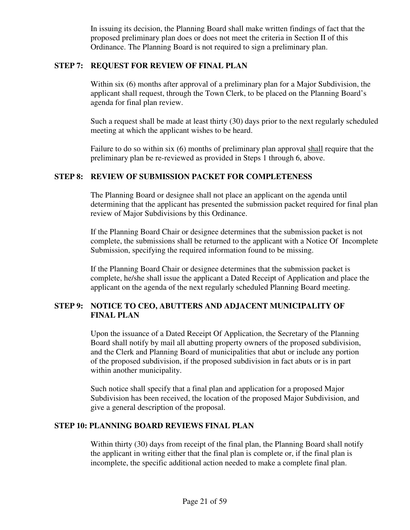In issuing its decision, the Planning Board shall make written findings of fact that the proposed preliminary plan does or does not meet the criteria in Section II of this Ordinance. The Planning Board is not required to sign a preliminary plan.

#### **STEP 7: REQUEST FOR REVIEW OF FINAL PLAN**

 Within six (6) months after approval of a preliminary plan for a Major Subdivision, the applicant shall request, through the Town Clerk, to be placed on the Planning Board's agenda for final plan review.

 Such a request shall be made at least thirty (30) days prior to the next regularly scheduled meeting at which the applicant wishes to be heard.

 Failure to do so within six (6) months of preliminary plan approval shall require that the preliminary plan be re-reviewed as provided in Steps 1 through 6, above.

#### **STEP 8: REVIEW OF SUBMISSION PACKET FOR COMPLETENESS**

 The Planning Board or designee shall not place an applicant on the agenda until determining that the applicant has presented the submission packet required for final plan review of Major Subdivisions by this Ordinance.

 If the Planning Board Chair or designee determines that the submission packet is not complete, the submissions shall be returned to the applicant with a Notice Of Incomplete Submission, specifying the required information found to be missing.

 If the Planning Board Chair or designee determines that the submission packet is complete, he/she shall issue the applicant a Dated Receipt of Application and place the applicant on the agenda of the next regularly scheduled Planning Board meeting.

### **STEP 9: NOTICE TO CEO, ABUTTERS AND ADJACENT MUNICIPALITY OF FINAL PLAN**

Upon the issuance of a Dated Receipt Of Application, the Secretary of the Planning Board shall notify by mail all abutting property owners of the proposed subdivision, and the Clerk and Planning Board of municipalities that abut or include any portion of the proposed subdivision, if the proposed subdivision in fact abuts or is in part within another municipality.

Such notice shall specify that a final plan and application for a proposed Major Subdivision has been received, the location of the proposed Major Subdivision, and give a general description of the proposal.

#### **STEP 10: PLANNING BOARD REVIEWS FINAL PLAN**

Within thirty (30) days from receipt of the final plan, the Planning Board shall notify the applicant in writing either that the final plan is complete or, if the final plan is incomplete, the specific additional action needed to make a complete final plan.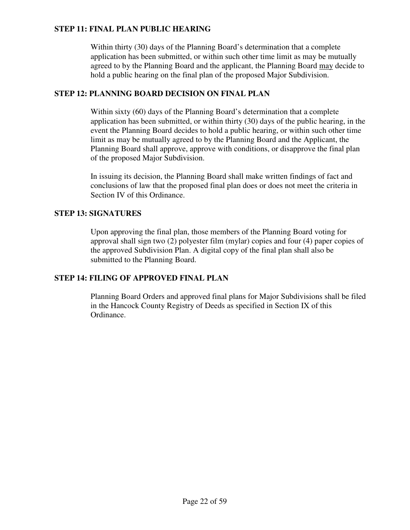### **STEP 11: FINAL PLAN PUBLIC HEARING**

Within thirty (30) days of the Planning Board's determination that a complete application has been submitted, or within such other time limit as may be mutually agreed to by the Planning Board and the applicant, the Planning Board may decide to hold a public hearing on the final plan of the proposed Major Subdivision.

### **STEP 12: PLANNING BOARD DECISION ON FINAL PLAN**

Within sixty (60) days of the Planning Board's determination that a complete application has been submitted, or within thirty (30) days of the public hearing, in the event the Planning Board decides to hold a public hearing, or within such other time limit as may be mutually agreed to by the Planning Board and the Applicant, the Planning Board shall approve, approve with conditions, or disapprove the final plan of the proposed Major Subdivision.

In issuing its decision, the Planning Board shall make written findings of fact and conclusions of law that the proposed final plan does or does not meet the criteria in Section IV of this Ordinance.

### **STEP 13: SIGNATURES**

Upon approving the final plan, those members of the Planning Board voting for approval shall sign two (2) polyester film (mylar) copies and four (4) paper copies of the approved Subdivision Plan. A digital copy of the final plan shall also be submitted to the Planning Board.

### **STEP 14: FILING OF APPROVED FINAL PLAN**

Planning Board Orders and approved final plans for Major Subdivisions shall be filed in the Hancock County Registry of Deeds as specified in Section IX of this Ordinance.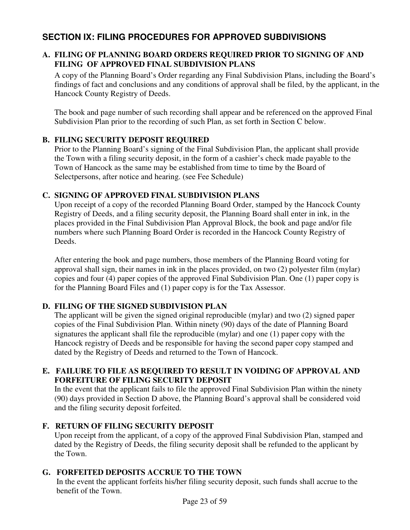# **SECTION IX: FILING PROCEDURES FOR APPROVED SUBDIVISIONS**

### **A. FILING OF PLANNING BOARD ORDERS REQUIRED PRIOR TO SIGNING OF AND FILING OF APPROVED FINAL SUBDIVISION PLANS**

A copy of the Planning Board's Order regarding any Final Subdivision Plans, including the Board's findings of fact and conclusions and any conditions of approval shall be filed, by the applicant, in the Hancock County Registry of Deeds.

The book and page number of such recording shall appear and be referenced on the approved Final Subdivision Plan prior to the recording of such Plan, as set forth in Section C below.

### **B. FILING SECURITY DEPOSIT REQUIRED**

Prior to the Planning Board's signing of the Final Subdivision Plan, the applicant shall provide the Town with a filing security deposit, in the form of a cashier's check made payable to the Town of Hancock as the same may be established from time to time by the Board of Selectpersons, after notice and hearing. (see Fee Schedule)

### **C. SIGNING OF APPROVED FINAL SUBDIVISION PLANS**

Upon receipt of a copy of the recorded Planning Board Order, stamped by the Hancock County Registry of Deeds, and a filing security deposit, the Planning Board shall enter in ink, in the places provided in the Final Subdivision Plan Approval Block, the book and page and/or file numbers where such Planning Board Order is recorded in the Hancock County Registry of Deeds.

After entering the book and page numbers, those members of the Planning Board voting for approval shall sign, their names in ink in the places provided, on two (2) polyester film (mylar) copies and four (4) paper copies of the approved Final Subdivision Plan. One (1) paper copy is for the Planning Board Files and (1) paper copy is for the Tax Assessor.

### **D. FILING OF THE SIGNED SUBDIVISION PLAN**

The applicant will be given the signed original reproducible (mylar) and two (2) signed paper copies of the Final Subdivision Plan. Within ninety (90) days of the date of Planning Board signatures the applicant shall file the reproducible (mylar) and one (1) paper copy with the Hancock registry of Deeds and be responsible for having the second paper copy stamped and dated by the Registry of Deeds and returned to the Town of Hancock.

### **E. FAILURE TO FILE AS REQUIRED TO RESULT IN VOIDING OF APPROVAL AND FORFEITURE OF FILING SECURITY DEPOSIT**

In the event that the applicant fails to file the approved Final Subdivision Plan within the ninety (90) days provided in Section D above, the Planning Board's approval shall be considered void and the filing security deposit forfeited.

### **F. RETURN OF FILING SECURITY DEPOSIT**

Upon receipt from the applicant, of a copy of the approved Final Subdivision Plan, stamped and dated by the Registry of Deeds, the filing security deposit shall be refunded to the applicant by the Town.

### **G. FORFEITED DEPOSITS ACCRUE TO THE TOWN**

 In the event the applicant forfeits his/her filing security deposit, such funds shall accrue to the benefit of the Town.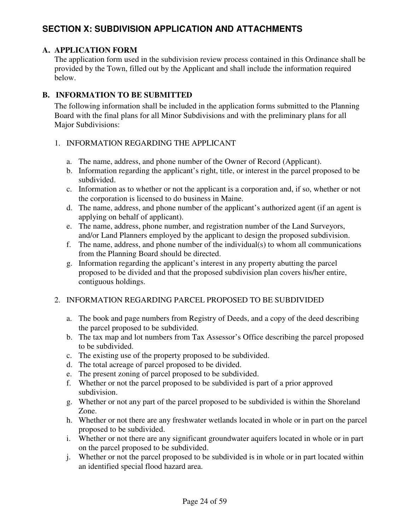# **SECTION X: SUBDIVISION APPLICATION AND ATTACHMENTS**

### **A. APPLICATION FORM**

The application form used in the subdivision review process contained in this Ordinance shall be provided by the Town, filled out by the Applicant and shall include the information required below.

### **B. INFORMATION TO BE SUBMITTED**

The following information shall be included in the application forms submitted to the Planning Board with the final plans for all Minor Subdivisions and with the preliminary plans for all Major Subdivisions:

### 1. INFORMATION REGARDING THE APPLICANT

- a. The name, address, and phone number of the Owner of Record (Applicant).
- b. Information regarding the applicant's right, title, or interest in the parcel proposed to be subdivided.
- c. Information as to whether or not the applicant is a corporation and, if so, whether or not the corporation is licensed to do business in Maine.
- d. The name, address, and phone number of the applicant's authorized agent (if an agent is applying on behalf of applicant).
- e. The name, address, phone number, and registration number of the Land Surveyors, and/or Land Planners employed by the applicant to design the proposed subdivision.
- f. The name, address, and phone number of the individual(s) to whom all communications from the Planning Board should be directed.
- g. Information regarding the applicant's interest in any property abutting the parcel proposed to be divided and that the proposed subdivision plan covers his/her entire, contiguous holdings.

### 2. INFORMATION REGARDING PARCEL PROPOSED TO BE SUBDIVIDED

- a. The book and page numbers from Registry of Deeds, and a copy of the deed describing the parcel proposed to be subdivided.
- b. The tax map and lot numbers from Tax Assessor's Office describing the parcel proposed to be subdivided.
- c. The existing use of the property proposed to be subdivided.
- d. The total acreage of parcel proposed to be divided.
- e. The present zoning of parcel proposed to be subdivided.
- f. Whether or not the parcel proposed to be subdivided is part of a prior approved subdivision.
- g. Whether or not any part of the parcel proposed to be subdivided is within the Shoreland Zone.
- h. Whether or not there are any freshwater wetlands located in whole or in part on the parcel proposed to be subdivided.
- i. Whether or not there are any significant groundwater aquifers located in whole or in part on the parcel proposed to be subdivided.
- j. Whether or not the parcel proposed to be subdivided is in whole or in part located within an identified special flood hazard area.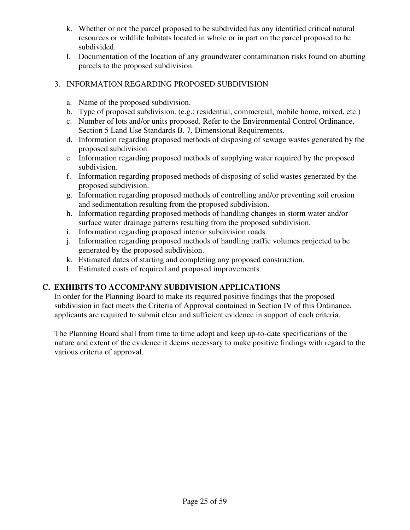- k. Whether or not the parcel proposed to be subdivided has any identified critical natural resources or wildlife habitats located in whole or in part on the parcel proposed to be subdivided.
- l. Documentation of the location of any groundwater contamination risks found on abutting parcels to the proposed subdivision.

### 3. INFORMATION REGARDING PROPOSED SUBDIVISION

- a. Name of the proposed subdivision.
- b. Type of proposed subdivision. (e.g.: residential, commercial, mobile home, mixed, etc.)
- c. Number of lots and/or units proposed. Refer to the Environmental Control Ordinance, Section 5 Land Use Standards B. 7. Dimensional Requirements.
- d. Information regarding proposed methods of disposing of sewage wastes generated by the proposed subdivision.
- e. Information regarding proposed methods of supplying water required by the proposed subdivision.
- f. Information regarding proposed methods of disposing of solid wastes generated by the proposed subdivision.
- g. Information regarding proposed methods of controlling and/or preventing soil erosion and sedimentation resulting from the proposed subdivision.
- h. Information regarding proposed methods of handling changes in storm water and/or surface water drainage patterns resulting from the proposed subdivision.
- i. Information regarding proposed interior subdivision roads.
- j. Information regarding proposed methods of handling traffic volumes projected to be generated by the proposed subdivision.
- k. Estimated dates of starting and completing any proposed construction.
- l. Estimated costs of required and proposed improvements.

### **C. EXHIBITS TO ACCOMPANY SUBDIVISION APPLICATIONS**

In order for the Planning Board to make its required positive findings that the proposed subdivision in fact meets the Criteria of Approval contained in Section IV of this Ordinance, applicants are required to submit clear and sufficient evidence in support of each criteria.

The Planning Board shall from time to time adopt and keep up-to-date specifications of the nature and extent of the evidence it deems necessary to make positive findings with regard to the various criteria of approval.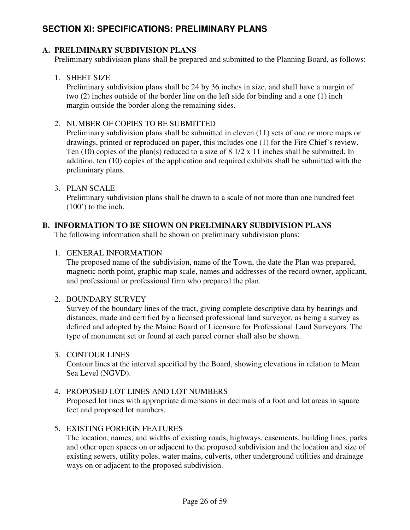# **SECTION XI: SPECIFICATIONS: PRELIMINARY PLANS**

### **A. PRELIMINARY SUBDIVISION PLANS**

Preliminary subdivision plans shall be prepared and submitted to the Planning Board, as follows:

### 1. SHEET SIZE

Preliminary subdivision plans shall be 24 by 36 inches in size, and shall have a margin of two (2) inches outside of the border line on the left side for binding and a one (1) inch margin outside the border along the remaining sides.

### 2. NUMBER OF COPIES TO BE SUBMITTED

Preliminary subdivision plans shall be submitted in eleven (11) sets of one or more maps or drawings, printed or reproduced on paper, this includes one (1) for the Fire Chief's review. Ten (10) copies of the plan(s) reduced to a size of 8 1/2 x 11 inches shall be submitted. In addition, ten (10) copies of the application and required exhibits shall be submitted with the preliminary plans.

### 3. PLAN SCALE

Preliminary subdivision plans shall be drawn to a scale of not more than one hundred feet  $(100')$  to the inch.

### **B. INFORMATION TO BE SHOWN ON PRELIMINARY SUBDIVISION PLANS**

The following information shall be shown on preliminary subdivision plans:

### 1. GENERAL INFORMATION

The proposed name of the subdivision, name of the Town, the date the Plan was prepared, magnetic north point, graphic map scale, names and addresses of the record owner, applicant, and professional or professional firm who prepared the plan.

### 2. BOUNDARY SURVEY

Survey of the boundary lines of the tract, giving complete descriptive data by bearings and distances, made and certified by a licensed professional land surveyor, as being a survey as defined and adopted by the Maine Board of Licensure for Professional Land Surveyors. The type of monument set or found at each parcel corner shall also be shown.

### 3. CONTOUR LINES

 Contour lines at the interval specified by the Board, showing elevations in relation to Mean Sea Level (NGVD).

#### 4. PROPOSED LOT LINES AND LOT NUMBERS

 Proposed lot lines with appropriate dimensions in decimals of a foot and lot areas in square feet and proposed lot numbers.

### 5. EXISTING FOREIGN FEATURES

 The location, names, and widths of existing roads, highways, easements, building lines, parks and other open spaces on or adjacent to the proposed subdivision and the location and size of existing sewers, utility poles, water mains, culverts, other underground utilities and drainage ways on or adjacent to the proposed subdivision.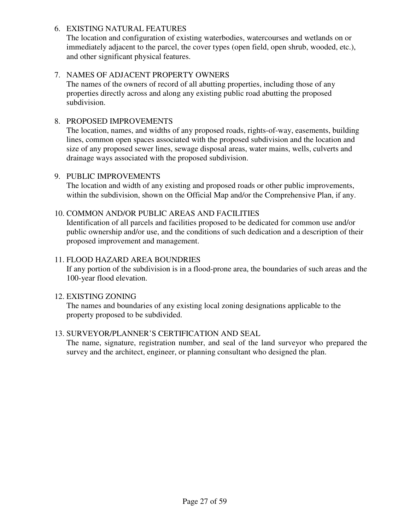### 6. EXISTING NATURAL FEATURES

 The location and configuration of existing waterbodies, watercourses and wetlands on or immediately adjacent to the parcel, the cover types (open field, open shrub, wooded, etc.), and other significant physical features.

### 7. NAMES OF ADJACENT PROPERTY OWNERS

 The names of the owners of record of all abutting properties, including those of any properties directly across and along any existing public road abutting the proposed subdivision.

#### 8. PROPOSED IMPROVEMENTS

 The location, names, and widths of any proposed roads, rights-of-way, easements, building lines, common open spaces associated with the proposed subdivision and the location and size of any proposed sewer lines, sewage disposal areas, water mains, wells, culverts and drainage ways associated with the proposed subdivision.

#### 9. PUBLIC IMPROVEMENTS

 The location and width of any existing and proposed roads or other public improvements, within the subdivision, shown on the Official Map and/or the Comprehensive Plan, if any.

#### 10. COMMON AND/OR PUBLIC AREAS AND FACILITIES

 Identification of all parcels and facilities proposed to be dedicated for common use and/or public ownership and/or use, and the conditions of such dedication and a description of their proposed improvement and management.

#### 11. FLOOD HAZARD AREA BOUNDRIES

 If any portion of the subdivision is in a flood-prone area, the boundaries of such areas and the 100-year flood elevation.

#### 12. EXISTING ZONING

 The names and boundaries of any existing local zoning designations applicable to the property proposed to be subdivided.

#### 13. SURVEYOR/PLANNER'S CERTIFICATION AND SEAL

 The name, signature, registration number, and seal of the land surveyor who prepared the survey and the architect, engineer, or planning consultant who designed the plan.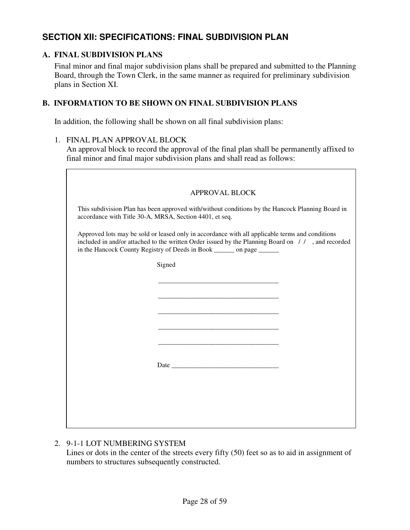# **SECTION XII: SPECIFICATIONS: FINAL SUBDIVISION PLAN**

### **A. FINAL SUBDIVISION PLANS**

Final minor and final major subdivision plans shall be prepared and submitted to the Planning Board, through the Town Clerk, in the same manner as required for preliminary subdivision plans in Section XI.

### **B. INFORMATION TO BE SHOWN ON FINAL SUBDIVISION PLANS**

In addition, the following shall be shown on all final subdivision plans:

#### 1. FINAL PLAN APPROVAL BLOCK

An approval block to record the approval of the final plan shall be permanently affixed to final minor and final major subdivision plans and shall read as follows:

| <b>APPROVAL BLOCK</b>                                                                                                                                                                                                                                                           |
|---------------------------------------------------------------------------------------------------------------------------------------------------------------------------------------------------------------------------------------------------------------------------------|
| This subdivision Plan has been approved with/without conditions by the Hancock Planning Board in<br>accordance with Title 30-A, MRSA, Section 4401, et seq.                                                                                                                     |
| Approved lots may be sold or leased only in accordance with all applicable terms and conditions<br>included in and/or attached to the written Order issued by the Planning Board on //, and recorded<br>in the Hancock County Registry of Deeds in Book ________ on page ______ |
| Signed                                                                                                                                                                                                                                                                          |
|                                                                                                                                                                                                                                                                                 |
|                                                                                                                                                                                                                                                                                 |
| <u> 1980 - Johann Barbara, martxa al III-lea (h. 1980).</u>                                                                                                                                                                                                                     |
|                                                                                                                                                                                                                                                                                 |
|                                                                                                                                                                                                                                                                                 |
|                                                                                                                                                                                                                                                                                 |
|                                                                                                                                                                                                                                                                                 |
|                                                                                                                                                                                                                                                                                 |
|                                                                                                                                                                                                                                                                                 |
|                                                                                                                                                                                                                                                                                 |

### 2. 9-1-1 LOT NUMBERING SYSTEM

Lines or dots in the center of the streets every fifty (50) feet so as to aid in assignment of numbers to structures subsequently constructed.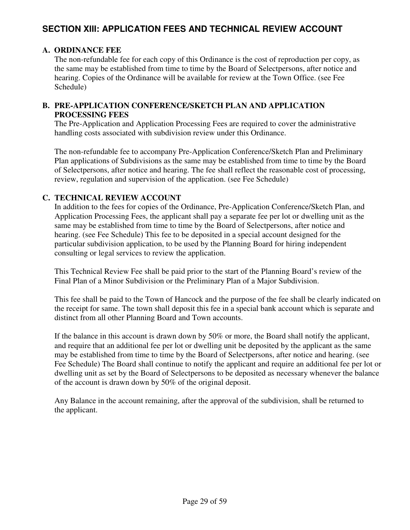# **SECTION XIII: APPLICATION FEES AND TECHNICAL REVIEW ACCOUNT**

#### **A. ORDINANCE FEE**

The non-refundable fee for each copy of this Ordinance is the cost of reproduction per copy, as the same may be established from time to time by the Board of Selectpersons, after notice and hearing. Copies of the Ordinance will be available for review at the Town Office. (see Fee Schedule)

#### **B. PRE-APPLICATION CONFERENCE/SKETCH PLAN AND APPLICATION PROCESSING FEES**

The Pre-Application and Application Processing Fees are required to cover the administrative handling costs associated with subdivision review under this Ordinance.

The non-refundable fee to accompany Pre-Application Conference/Sketch Plan and Preliminary Plan applications of Subdivisions as the same may be established from time to time by the Board of Selectpersons, after notice and hearing. The fee shall reflect the reasonable cost of processing, review, regulation and supervision of the application. (see Fee Schedule)

#### **C. TECHNICAL REVIEW ACCOUNT**

In addition to the fees for copies of the Ordinance, Pre-Application Conference/Sketch Plan, and Application Processing Fees, the applicant shall pay a separate fee per lot or dwelling unit as the same may be established from time to time by the Board of Selectpersons, after notice and hearing. (see Fee Schedule) This fee to be deposited in a special account designed for the particular subdivision application, to be used by the Planning Board for hiring independent consulting or legal services to review the application.

This Technical Review Fee shall be paid prior to the start of the Planning Board's review of the Final Plan of a Minor Subdivision or the Preliminary Plan of a Major Subdivision.

 This fee shall be paid to the Town of Hancock and the purpose of the fee shall be clearly indicated on the receipt for same. The town shall deposit this fee in a special bank account which is separate and distinct from all other Planning Board and Town accounts.

If the balance in this account is drawn down by 50% or more, the Board shall notify the applicant, and require that an additional fee per lot or dwelling unit be deposited by the applicant as the same may be established from time to time by the Board of Selectpersons, after notice and hearing. (see Fee Schedule) The Board shall continue to notify the applicant and require an additional fee per lot or dwelling unit as set by the Board of Selectpersons to be deposited as necessary whenever the balance of the account is drawn down by 50% of the original deposit.

Any Balance in the account remaining, after the approval of the subdivision, shall be returned to the applicant.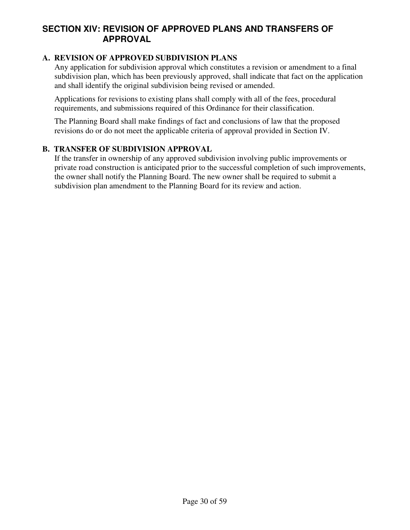# **SECTION XIV: REVISION OF APPROVED PLANS AND TRANSFERS OF APPROVAL**

### **A. REVISION OF APPROVED SUBDIVISION PLANS**

Any application for subdivision approval which constitutes a revision or amendment to a final subdivision plan, which has been previously approved, shall indicate that fact on the application and shall identify the original subdivision being revised or amended.

Applications for revisions to existing plans shall comply with all of the fees, procedural requirements, and submissions required of this Ordinance for their classification.

The Planning Board shall make findings of fact and conclusions of law that the proposed revisions do or do not meet the applicable criteria of approval provided in Section IV.

#### **B. TRANSFER OF SUBDIVISION APPROVAL**

If the transfer in ownership of any approved subdivision involving public improvements or private road construction is anticipated prior to the successful completion of such improvements, the owner shall notify the Planning Board. The new owner shall be required to submit a subdivision plan amendment to the Planning Board for its review and action.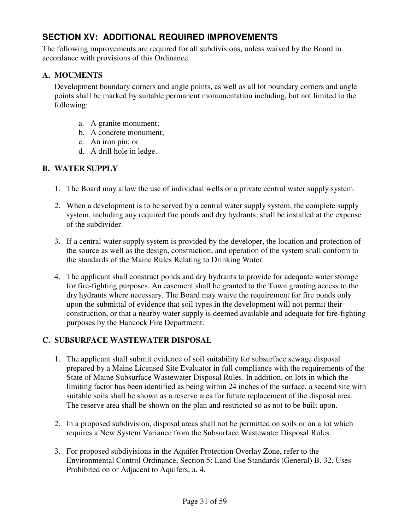# **SECTION XV: ADDITIONAL REQUIRED IMPROVEMENTS**

The following improvements are required for all subdivisions, unless waived by the Board in accordance with provisions of this Ordinance.

### **A. MOUMENTS**

Development boundary corners and angle points, as well as all lot boundary corners and angle points shall be marked by suitable permanent monumentation including, but not limited to the following:

- a. A granite monument;
- b. A concrete monument;
- c. An iron pin; or
- d. A drill hole in ledge.

### **B. WATER SUPPLY**

- 1. The Board may allow the use of individual wells or a private central water supply system.
- 2. When a development is to be served by a central water supply system, the complete supply system, including any required fire ponds and dry hydrants, shall be installed at the expense of the subdivider.
- 3. If a central water supply system is provided by the developer, the location and protection of the source as well as the design, construction, and operation of the system shall conform to the standards of the Maine Rules Relating to Drinking Water.
- 4. The applicant shall construct ponds and dry hydrants to provide for adequate water storage for fire-fighting purposes. An easement shall be granted to the Town granting access to the dry hydrants where necessary. The Board may waive the requirement for fire ponds only upon the submittal of evidence that soil types in the development will not permit their construction, or that a nearby water supply is deemed available and adequate for fire-fighting purposes by the Hancock Fire Department.

### **C. SUBSURFACE WASTEWATER DISPOSAL**

- 1. The applicant shall submit evidence of soil suitability for subsurface sewage disposal prepared by a Maine Licensed Site Evaluator in full compliance with the requirements of the State of Maine Subsurface Wastewater Disposal Rules. In addition, on lots in which the limiting factor has been identified as being within 24 inches of the surface, a second site with suitable soils shall be shown as a reserve area for future replacement of the disposal area. The reserve area shall be shown on the plan and restricted so as not to be built upon.
- 2. In a proposed subdivision, disposal areas shall not be permitted on soils or on a lot which requires a New System Variance from the Subsurface Wastewater Disposal Rules.
- 3. For proposed subdivisions in the Aquifer Protection Overlay Zone, refer to the Environmental Control Ordinance, Section 5: Land Use Standards (General) B. 32. Uses Prohibited on or Adjacent to Aquifers, a. 4.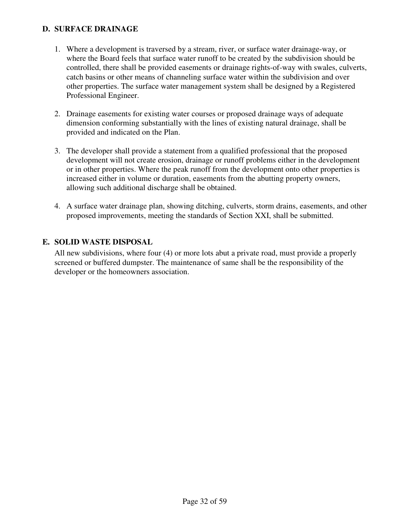### **D. SURFACE DRAINAGE**

- 1. Where a development is traversed by a stream, river, or surface water drainage-way, or where the Board feels that surface water runoff to be created by the subdivision should be controlled, there shall be provided easements or drainage rights-of-way with swales, culverts, catch basins or other means of channeling surface water within the subdivision and over other properties. The surface water management system shall be designed by a Registered Professional Engineer.
- 2. Drainage easements for existing water courses or proposed drainage ways of adequate dimension conforming substantially with the lines of existing natural drainage, shall be provided and indicated on the Plan.
- 3. The developer shall provide a statement from a qualified professional that the proposed development will not create erosion, drainage or runoff problems either in the development or in other properties. Where the peak runoff from the development onto other properties is increased either in volume or duration, easements from the abutting property owners, allowing such additional discharge shall be obtained.
- 4. A surface water drainage plan, showing ditching, culverts, storm drains, easements, and other proposed improvements, meeting the standards of Section XXI, shall be submitted.

### **E. SOLID WASTE DISPOSAL**

All new subdivisions, where four (4) or more lots abut a private road, must provide a properly screened or buffered dumpster. The maintenance of same shall be the responsibility of the developer or the homeowners association.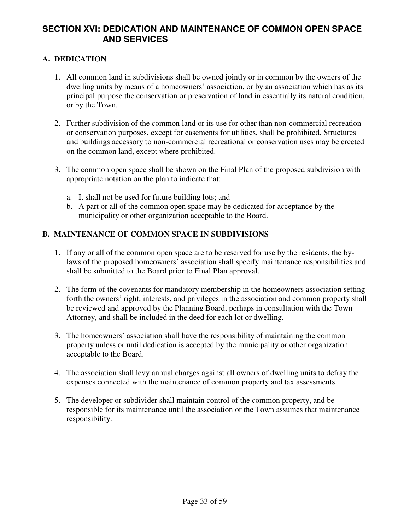# **SECTION XVI: DEDICATION AND MAINTENANCE OF COMMON OPEN SPACE AND SERVICES**

### **A. DEDICATION**

- 1. All common land in subdivisions shall be owned jointly or in common by the owners of the dwelling units by means of a homeowners' association, or by an association which has as its principal purpose the conservation or preservation of land in essentially its natural condition, or by the Town.
- 2. Further subdivision of the common land or its use for other than non-commercial recreation or conservation purposes, except for easements for utilities, shall be prohibited. Structures and buildings accessory to non-commercial recreational or conservation uses may be erected on the common land, except where prohibited.
- 3. The common open space shall be shown on the Final Plan of the proposed subdivision with appropriate notation on the plan to indicate that:
	- a. It shall not be used for future building lots; and
	- b. A part or all of the common open space may be dedicated for acceptance by the municipality or other organization acceptable to the Board.

### **B. MAINTENANCE OF COMMON SPACE IN SUBDIVISIONS**

- 1. If any or all of the common open space are to be reserved for use by the residents, the bylaws of the proposed homeowners' association shall specify maintenance responsibilities and shall be submitted to the Board prior to Final Plan approval.
- 2. The form of the covenants for mandatory membership in the homeowners association setting forth the owners' right, interests, and privileges in the association and common property shall be reviewed and approved by the Planning Board, perhaps in consultation with the Town Attorney, and shall be included in the deed for each lot or dwelling.
- 3. The homeowners' association shall have the responsibility of maintaining the common property unless or until dedication is accepted by the municipality or other organization acceptable to the Board.
- 4. The association shall levy annual charges against all owners of dwelling units to defray the expenses connected with the maintenance of common property and tax assessments.
- 5. The developer or subdivider shall maintain control of the common property, and be responsible for its maintenance until the association or the Town assumes that maintenance responsibility.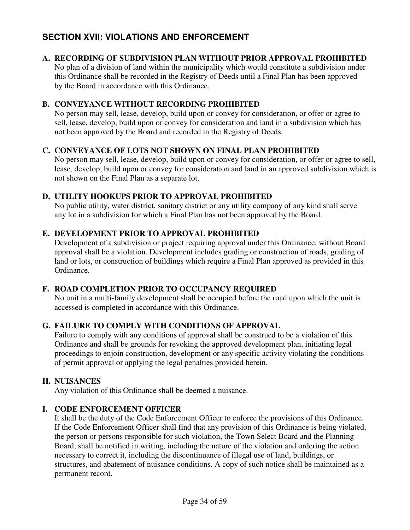# **SECTION XVII: VIOLATIONS AND ENFORCEMENT**

### **A. RECORDING OF SUBDIVISION PLAN WITHOUT PRIOR APPROVAL PROHIBITED**

No plan of a division of land within the municipality which would constitute a subdivision under this Ordinance shall be recorded in the Registry of Deeds until a Final Plan has been approved by the Board in accordance with this Ordinance.

#### **B. CONVEYANCE WITHOUT RECORDING PROHIBITED**

No person may sell, lease, develop, build upon or convey for consideration, or offer or agree to sell, lease, develop, build upon or convey for consideration and land in a subdivision which has not been approved by the Board and recorded in the Registry of Deeds.

#### **C. CONVEYANCE OF LOTS NOT SHOWN ON FINAL PLAN PROHIBITED**

 No person may sell, lease, develop, build upon or convey for consideration, or offer or agree to sell, lease, develop, build upon or convey for consideration and land in an approved subdivision which is not shown on the Final Plan as a separate lot.

### **D. UTILITY HOOKUPS PRIOR TO APPROVAL PROHIBITED**

No public utility, water district, sanitary district or any utility company of any kind shall serve any lot in a subdivision for which a Final Plan has not been approved by the Board.

#### **E. DEVELOPMENT PRIOR TO APPROVAL PROHIBITED**

Development of a subdivision or project requiring approval under this Ordinance, without Board approval shall be a violation. Development includes grading or construction of roads, grading of land or lots, or construction of buildings which require a Final Plan approved as provided in this Ordinance.

### **F. ROAD COMPLETION PRIOR TO OCCUPANCY REQUIRED**

No unit in a multi-family development shall be occupied before the road upon which the unit is accessed is completed in accordance with this Ordinance.

### **G. FAILURE TO COMPLY WITH CONDITIONS OF APPROVAL**

Failure to comply with any conditions of approval shall be construed to be a violation of this Ordinance and shall be grounds for revoking the approved development plan, initiating legal proceedings to enjoin construction, development or any specific activity violating the conditions of permit approval or applying the legal penalties provided herein.

### **H. NUISANCES**

Any violation of this Ordinance shall be deemed a nuisance.

### **I. CODE ENFORCEMENT OFFICER**

It shall be the duty of the Code Enforcement Officer to enforce the provisions of this Ordinance. If the Code Enforcement Officer shall find that any provision of this Ordinance is being violated, the person or persons responsible for such violation, the Town Select Board and the Planning Board, shall be notified in writing, including the nature of the violation and ordering the action necessary to correct it, including the discontinuance of illegal use of land, buildings, or structures, and abatement of nuisance conditions. A copy of such notice shall be maintained as a permanent record.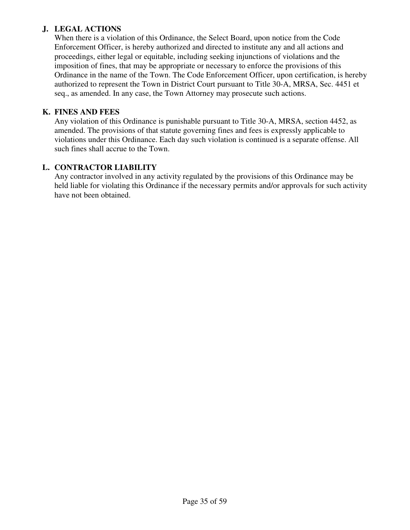### **J. LEGAL ACTIONS**

When there is a violation of this Ordinance, the Select Board, upon notice from the Code Enforcement Officer, is hereby authorized and directed to institute any and all actions and proceedings, either legal or equitable, including seeking injunctions of violations and the imposition of fines, that may be appropriate or necessary to enforce the provisions of this Ordinance in the name of the Town. The Code Enforcement Officer, upon certification, is hereby authorized to represent the Town in District Court pursuant to Title 30-A, MRSA, Sec. 4451 et seq., as amended. In any case, the Town Attorney may prosecute such actions.

### **K. FINES AND FEES**

Any violation of this Ordinance is punishable pursuant to Title 30-A, MRSA, section 4452, as amended. The provisions of that statute governing fines and fees is expressly applicable to violations under this Ordinance. Each day such violation is continued is a separate offense. All such fines shall accrue to the Town.

### **L. CONTRACTOR LIABILITY**

Any contractor involved in any activity regulated by the provisions of this Ordinance may be held liable for violating this Ordinance if the necessary permits and/or approvals for such activity have not been obtained.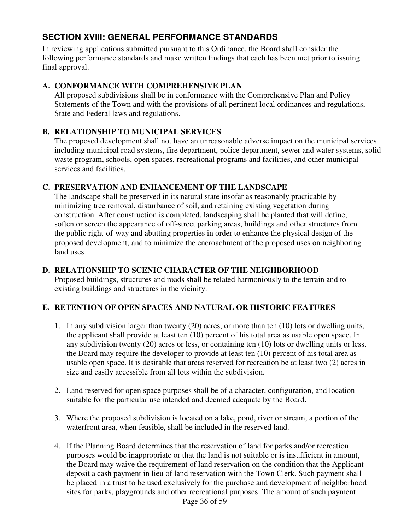# **SECTION XVIII: GENERAL PERFORMANCE STANDARDS**

In reviewing applications submitted pursuant to this Ordinance, the Board shall consider the following performance standards and make written findings that each has been met prior to issuing final approval.

### **A. CONFORMANCE WITH COMPREHENSIVE PLAN**

All proposed subdivisions shall be in conformance with the Comprehensive Plan and Policy Statements of the Town and with the provisions of all pertinent local ordinances and regulations, State and Federal laws and regulations.

### **B. RELATIONSHIP TO MUNICIPAL SERVICES**

The proposed development shall not have an unreasonable adverse impact on the municipal services including municipal road systems, fire department, police department, sewer and water systems, solid waste program, schools, open spaces, recreational programs and facilities, and other municipal services and facilities.

### **C. PRESERVATION AND ENHANCEMENT OF THE LANDSCAPE**

The landscape shall be preserved in its natural state insofar as reasonably practicable by minimizing tree removal, disturbance of soil, and retaining existing vegetation during construction. After construction is completed, landscaping shall be planted that will define, soften or screen the appearance of off-street parking areas, buildings and other structures from the public right-of-way and abutting properties in order to enhance the physical design of the proposed development, and to minimize the encroachment of the proposed uses on neighboring land uses.

### **D. RELATIONSHIP TO SCENIC CHARACTER OF THE NEIGHBORHOOD**

Proposed buildings, structures and roads shall be related harmoniously to the terrain and to existing buildings and structures in the vicinity.

# **E. RETENTION OF OPEN SPACES AND NATURAL OR HISTORIC FEATURES**

- 1. In any subdivision larger than twenty (20) acres, or more than ten (10) lots or dwelling units, the applicant shall provide at least ten (10) percent of his total area as usable open space. In any subdivision twenty (20) acres or less, or containing ten (10) lots or dwelling units or less, the Board may require the developer to provide at least ten (10) percent of his total area as usable open space. It is desirable that areas reserved for recreation be at least two (2) acres in size and easily accessible from all lots within the subdivision.
- 2. Land reserved for open space purposes shall be of a character, configuration, and location suitable for the particular use intended and deemed adequate by the Board.
- 3. Where the proposed subdivision is located on a lake, pond, river or stream, a portion of the waterfront area, when feasible, shall be included in the reserved land.
- 4. If the Planning Board determines that the reservation of land for parks and/or recreation purposes would be inappropriate or that the land is not suitable or is insufficient in amount, the Board may waive the requirement of land reservation on the condition that the Applicant deposit a cash payment in lieu of land reservation with the Town Clerk. Such payment shall be placed in a trust to be used exclusively for the purchase and development of neighborhood sites for parks, playgrounds and other recreational purposes. The amount of such payment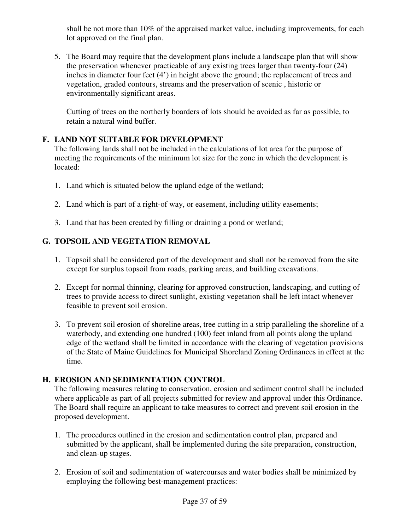shall be not more than 10% of the appraised market value, including improvements, for each lot approved on the final plan.

5. The Board may require that the development plans include a landscape plan that will show the preservation whenever practicable of any existing trees larger than twenty-four (24) inches in diameter four feet (4') in height above the ground; the replacement of trees and vegetation, graded contours, streams and the preservation of scenic , historic or environmentally significant areas.

Cutting of trees on the northerly boarders of lots should be avoided as far as possible, to retain a natural wind buffer.

### **F. LAND NOT SUITABLE FOR DEVELOPMENT**

The following lands shall not be included in the calculations of lot area for the purpose of meeting the requirements of the minimum lot size for the zone in which the development is located:

- 1. Land which is situated below the upland edge of the wetland;
- 2. Land which is part of a right-of way, or easement, including utility easements;
- 3. Land that has been created by filling or draining a pond or wetland;

# **G. TOPSOIL AND VEGETATION REMOVAL**

- 1. Topsoil shall be considered part of the development and shall not be removed from the site except for surplus topsoil from roads, parking areas, and building excavations.
- 2. Except for normal thinning, clearing for approved construction, landscaping, and cutting of trees to provide access to direct sunlight, existing vegetation shall be left intact whenever feasible to prevent soil erosion.
- 3. To prevent soil erosion of shoreline areas, tree cutting in a strip paralleling the shoreline of a waterbody, and extending one hundred (100) feet inland from all points along the upland edge of the wetland shall be limited in accordance with the clearing of vegetation provisions of the State of Maine Guidelines for Municipal Shoreland Zoning Ordinances in effect at the time.

# **H. EROSION AND SEDIMENTATION CONTROL**

The following measures relating to conservation, erosion and sediment control shall be included where applicable as part of all projects submitted for review and approval under this Ordinance. The Board shall require an applicant to take measures to correct and prevent soil erosion in the proposed development.

- 1. The procedures outlined in the erosion and sedimentation control plan, prepared and submitted by the applicant, shall be implemented during the site preparation, construction, and clean-up stages.
- 2. Erosion of soil and sedimentation of watercourses and water bodies shall be minimized by employing the following best-management practices: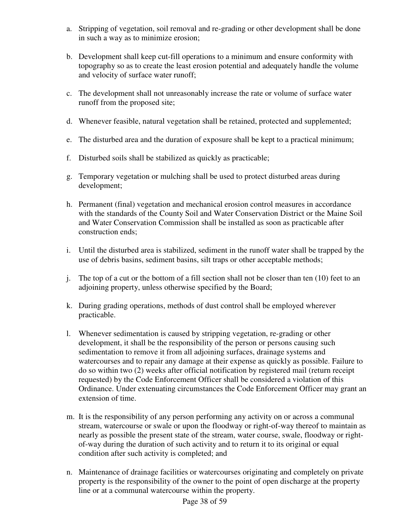- a. Stripping of vegetation, soil removal and re-grading or other development shall be done in such a way as to minimize erosion;
- b. Development shall keep cut-fill operations to a minimum and ensure conformity with topography so as to create the least erosion potential and adequately handle the volume and velocity of surface water runoff;
- c. The development shall not unreasonably increase the rate or volume of surface water runoff from the proposed site;
- d. Whenever feasible, natural vegetation shall be retained, protected and supplemented;
- e. The disturbed area and the duration of exposure shall be kept to a practical minimum;
- f. Disturbed soils shall be stabilized as quickly as practicable;
- g. Temporary vegetation or mulching shall be used to protect disturbed areas during development;
- h. Permanent (final) vegetation and mechanical erosion control measures in accordance with the standards of the County Soil and Water Conservation District or the Maine Soil and Water Conservation Commission shall be installed as soon as practicable after construction ends;
- i. Until the disturbed area is stabilized, sediment in the runoff water shall be trapped by the use of debris basins, sediment basins, silt traps or other acceptable methods;
- j. The top of a cut or the bottom of a fill section shall not be closer than ten (10) feet to an adjoining property, unless otherwise specified by the Board;
- k. During grading operations, methods of dust control shall be employed wherever practicable.
- l. Whenever sedimentation is caused by stripping vegetation, re-grading or other development, it shall be the responsibility of the person or persons causing such sedimentation to remove it from all adjoining surfaces, drainage systems and watercourses and to repair any damage at their expense as quickly as possible. Failure to do so within two (2) weeks after official notification by registered mail (return receipt requested) by the Code Enforcement Officer shall be considered a violation of this Ordinance. Under extenuating circumstances the Code Enforcement Officer may grant an extension of time.
- m. It is the responsibility of any person performing any activity on or across a communal stream, watercourse or swale or upon the floodway or right-of-way thereof to maintain as nearly as possible the present state of the stream, water course, swale, floodway or rightof-way during the duration of such activity and to return it to its original or equal condition after such activity is completed; and
- n. Maintenance of drainage facilities or watercourses originating and completely on private property is the responsibility of the owner to the point of open discharge at the property line or at a communal watercourse within the property.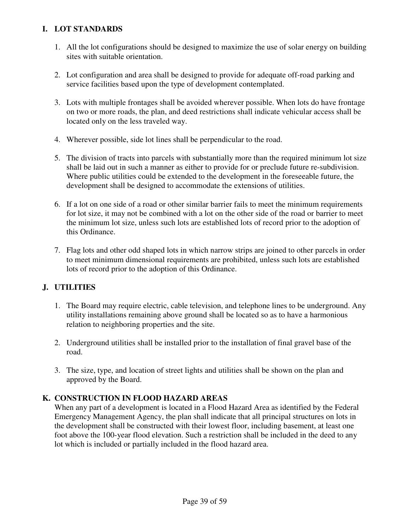### **I. LOT STANDARDS**

- 1. All the lot configurations should be designed to maximize the use of solar energy on building sites with suitable orientation.
- 2. Lot configuration and area shall be designed to provide for adequate off-road parking and service facilities based upon the type of development contemplated.
- 3. Lots with multiple frontages shall be avoided wherever possible. When lots do have frontage on two or more roads, the plan, and deed restrictions shall indicate vehicular access shall be located only on the less traveled way.
- 4. Wherever possible, side lot lines shall be perpendicular to the road.
- 5. The division of tracts into parcels with substantially more than the required minimum lot size shall be laid out in such a manner as either to provide for or preclude future re-subdivision. Where public utilities could be extended to the development in the foreseeable future, the development shall be designed to accommodate the extensions of utilities.
- 6. If a lot on one side of a road or other similar barrier fails to meet the minimum requirements for lot size, it may not be combined with a lot on the other side of the road or barrier to meet the minimum lot size, unless such lots are established lots of record prior to the adoption of this Ordinance.
- 7. Flag lots and other odd shaped lots in which narrow strips are joined to other parcels in order to meet minimum dimensional requirements are prohibited, unless such lots are established lots of record prior to the adoption of this Ordinance.

### **J. UTILITIES**

- 1. The Board may require electric, cable television, and telephone lines to be underground. Any utility installations remaining above ground shall be located so as to have a harmonious relation to neighboring properties and the site.
- 2. Underground utilities shall be installed prior to the installation of final gravel base of the road.
- 3. The size, type, and location of street lights and utilities shall be shown on the plan and approved by the Board.

### **K. CONSTRUCTION IN FLOOD HAZARD AREAS**

When any part of a development is located in a Flood Hazard Area as identified by the Federal Emergency Management Agency, the plan shall indicate that all principal structures on lots in the development shall be constructed with their lowest floor, including basement, at least one foot above the 100-year flood elevation. Such a restriction shall be included in the deed to any lot which is included or partially included in the flood hazard area.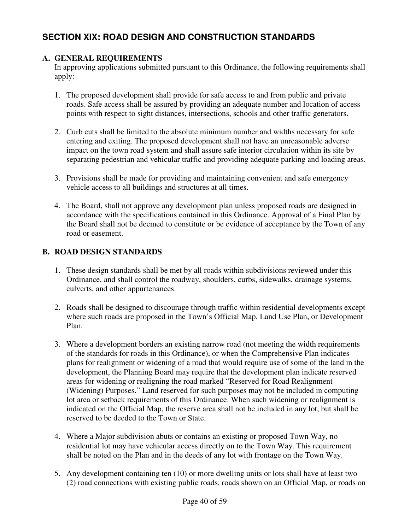# **SECTION XIX: ROAD DESIGN AND CONSTRUCTION STANDARDS**

### **A. GENERAL REQUIREMENTS**

In approving applications submitted pursuant to this Ordinance, the following requirements shall apply:

- 1. The proposed development shall provide for safe access to and from public and private roads. Safe access shall be assured by providing an adequate number and location of access points with respect to sight distances, intersections, schools and other traffic generators.
- 2. Curb cuts shall be limited to the absolute minimum number and widths necessary for safe entering and exiting. The proposed development shall not have an unreasonable adverse impact on the town road system and shall assure safe interior circulation within its site by separating pedestrian and vehicular traffic and providing adequate parking and loading areas.
- 3. Provisions shall be made for providing and maintaining convenient and safe emergency vehicle access to all buildings and structures at all times.
- 4. The Board, shall not approve any development plan unless proposed roads are designed in accordance with the specifications contained in this Ordinance. Approval of a Final Plan by the Board shall not be deemed to constitute or be evidence of acceptance by the Town of any road or easement.

### **B. ROAD DESIGN STANDARDS**

- 1. These design standards shall be met by all roads within subdivisions reviewed under this Ordinance, and shall control the roadway, shoulders, curbs, sidewalks, drainage systems, culverts, and other appurtenances.
- 2. Roads shall be designed to discourage through traffic within residential developments except where such roads are proposed in the Town's Official Map, Land Use Plan, or Development Plan.
- 3. Where a development borders an existing narrow road (not meeting the width requirements of the standards for roads in this Ordinance), or when the Comprehensive Plan indicates plans for realignment or widening of a road that would require use of some of the land in the development, the Planning Board may require that the development plan indicate reserved areas for widening or realigning the road marked "Reserved for Road Realignment (Widening) Purposes." Land reserved for such purposes may not be included in computing lot area or setback requirements of this Ordinance. When such widening or realignment is indicated on the Official Map, the reserve area shall not be included in any lot, but shall be reserved to be deeded to the Town or State.
- 4. Where a Major subdivision abuts or contains an existing or proposed Town Way, no residential lot may have vehicular access directly on to the Town Way. This requirement shall be noted on the Plan and in the deeds of any lot with frontage on the Town Way.
- 5. Any development containing ten (10) or more dwelling units or lots shall have at least two (2) road connections with existing public roads, roads shown on an Official Map, or roads on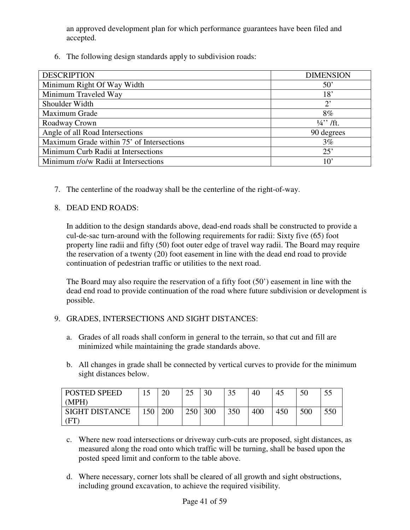an approved development plan for which performance guarantees have been filed and accepted.

6. The following design standards apply to subdivision roads:

| <b>DESCRIPTION</b>                        | <b>DIMENSION</b>   |
|-------------------------------------------|--------------------|
| Minimum Right Of Way Width                | $50^{\circ}$       |
| Minimum Traveled Way                      | 18'                |
| Shoulder Width                            | $2^{\circ}$        |
| Maximum Grade                             | 8%                 |
| Roadway Crown                             | $\frac{1}{4}$ /ft. |
| Angle of all Road Intersections           | 90 degrees         |
| Maximum Grade within 75' of Intersections | 3%                 |
| Minimum Curb Radii at Intersections       | 25'                |
| Minimum r/o/w Radii at Intersections      | $10^{\circ}$       |

7. The centerline of the roadway shall be the centerline of the right-of-way.

### 8. DEAD END ROADS:

In addition to the design standards above, dead-end roads shall be constructed to provide a cul-de-sac turn-around with the following requirements for radii: Sixty five (65) foot property line radii and fifty (50) foot outer edge of travel way radii. The Board may require the reservation of a twenty (20) foot easement in line with the dead end road to provide continuation of pedestrian traffic or utilities to the next road.

The Board may also require the reservation of a fifty foot (50') easement in line with the dead end road to provide continuation of the road where future subdivision or development is possible.

### 9. GRADES, INTERSECTIONS AND SIGHT DISTANCES:

- a. Grades of all roads shall conform in general to the terrain, so that cut and fill are minimized while maintaining the grade standards above.
- b. All changes in grade shall be connected by vertical curves to provide for the minimum sight distances below.

| POSTED SPEED          |                  | 20  | $\gamma$<br>ر ے | 30  | 35  | 40  | 45  | 50  |     |
|-----------------------|------------------|-----|-----------------|-----|-----|-----|-----|-----|-----|
| (MPH)                 |                  |     |                 |     |     |     |     |     |     |
| <b>SIGHT DISTANCE</b> | 150 <sup>1</sup> | 200 | 250             | 300 | 350 | 400 | 450 | 500 | 550 |
| ΈT                    |                  |     |                 |     |     |     |     |     |     |

- c. Where new road intersections or driveway curb-cuts are proposed, sight distances, as measured along the road onto which traffic will be turning, shall be based upon the posted speed limit and conform to the table above.
- d. Where necessary, corner lots shall be cleared of all growth and sight obstructions, including ground excavation, to achieve the required visibility.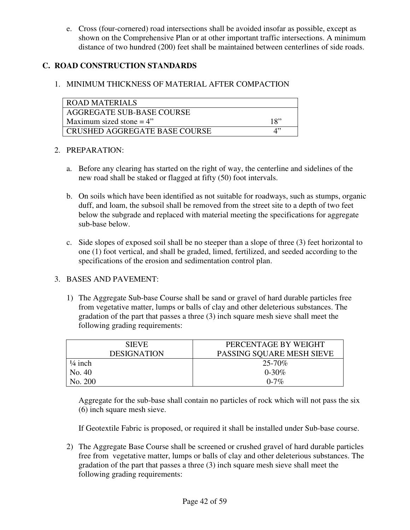e. Cross (four-cornered) road intersections shall be avoided insofar as possible, except as shown on the Comprehensive Plan or at other important traffic intersections. A minimum distance of two hundred (200) feet shall be maintained between centerlines of side roads.

### **C. ROAD CONSTRUCTION STANDARDS**

### 1. MINIMUM THICKNESS OF MATERIAL AFTER COMPACTION

| ROAD MATERIALS                |     |
|-------------------------------|-----|
| AGGREGATE SUB-BASE COURSE     |     |
| Maximum sized stone $=4$ "    | 18" |
| CRUSHED AGGREGATE BASE COURSE |     |

#### 2. PREPARATION:

- a. Before any clearing has started on the right of way, the centerline and sidelines of the new road shall be staked or flagged at fifty (50) foot intervals.
- b. On soils which have been identified as not suitable for roadways, such as stumps, organic duff, and loam, the subsoil shall be removed from the street site to a depth of two feet below the subgrade and replaced with material meeting the specifications for aggregate sub-base below.
- c. Side slopes of exposed soil shall be no steeper than a slope of three (3) feet horizontal to one (1) foot vertical, and shall be graded, limed, fertilized, and seeded according to the specifications of the erosion and sedimentation control plan.

### 3. BASES AND PAVEMENT:

1) The Aggregate Sub-base Course shall be sand or gravel of hard durable particles free from vegetative matter, lumps or balls of clay and other deleterious substances. The gradation of the part that passes a three (3) inch square mesh sieve shall meet the following grading requirements:

| <b>SIEVE</b>       | PERCENTAGE BY WEIGHT      |
|--------------------|---------------------------|
| <b>DESIGNATION</b> | PASSING SQUARE MESH SIEVE |
| $\frac{1}{4}$ inch | $25 - 70\%$               |
| No. 40             | $0 - 30\%$                |
| No. 200            | $0 - 7\%$                 |

Aggregate for the sub-base shall contain no particles of rock which will not pass the six (6) inch square mesh sieve.

If Geotextile Fabric is proposed, or required it shall be installed under Sub-base course.

2) The Aggregate Base Course shall be screened or crushed gravel of hard durable particles free from vegetative matter, lumps or balls of clay and other deleterious substances. The gradation of the part that passes a three (3) inch square mesh sieve shall meet the following grading requirements: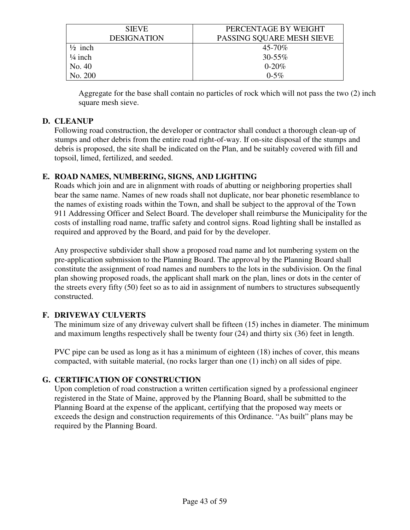| <b>SIEVE</b>                      | PERCENTAGE BY WEIGHT      |  |  |
|-----------------------------------|---------------------------|--|--|
| <b>DESIGNATION</b>                | PASSING SQUARE MESH SIEVE |  |  |
| $\frac{1}{2}$ inch                | $45 - 70\%$               |  |  |
| $\frac{1}{4}$ inch<br>$30 - 55\%$ |                           |  |  |
| No. 40                            | $0 - 20\%$                |  |  |
| No. 200                           | $0 - 5\%$                 |  |  |

 Aggregate for the base shall contain no particles of rock which will not pass the two (2) inch square mesh sieve.

### **D. CLEANUP**

Following road construction, the developer or contractor shall conduct a thorough clean-up of stumps and other debris from the entire road right-of-way. If on-site disposal of the stumps and debris is proposed, the site shall be indicated on the Plan, and be suitably covered with fill and topsoil, limed, fertilized, and seeded.

### **E. ROAD NAMES, NUMBERING, SIGNS, AND LIGHTING**

Roads which join and are in alignment with roads of abutting or neighboring properties shall bear the same name. Names of new roads shall not duplicate, nor bear phonetic resemblance to the names of existing roads within the Town, and shall be subject to the approval of the Town 911 Addressing Officer and Select Board. The developer shall reimburse the Municipality for the costs of installing road name, traffic safety and control signs. Road lighting shall be installed as required and approved by the Board, and paid for by the developer.

Any prospective subdivider shall show a proposed road name and lot numbering system on the pre-application submission to the Planning Board. The approval by the Planning Board shall constitute the assignment of road names and numbers to the lots in the subdivision. On the final plan showing proposed roads, the applicant shall mark on the plan, lines or dots in the center of the streets every fifty (50) feet so as to aid in assignment of numbers to structures subsequently constructed.

# **F. DRIVEWAY CULVERTS**

 The minimum size of any driveway culvert shall be fifteen (15) inches in diameter. The minimum and maximum lengths respectively shall be twenty four (24) and thirty six (36) feet in length.

PVC pipe can be used as long as it has a minimum of eighteen (18) inches of cover, this means compacted, with suitable material, (no rocks larger than one (1) inch) on all sides of pipe.

# **G. CERTIFICATION OF CONSTRUCTION**

Upon completion of road construction a written certification signed by a professional engineer registered in the State of Maine, approved by the Planning Board, shall be submitted to the Planning Board at the expense of the applicant, certifying that the proposed way meets or exceeds the design and construction requirements of this Ordinance. "As built" plans may be required by the Planning Board.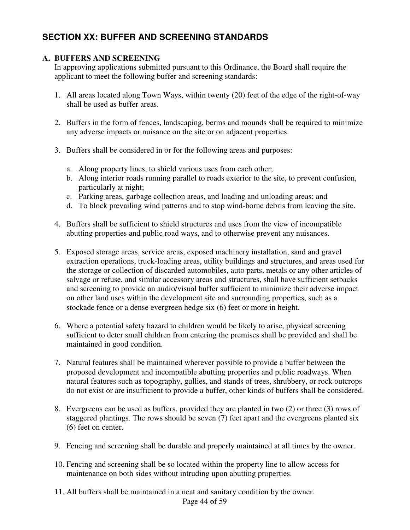# **SECTION XX: BUFFER AND SCREENING STANDARDS**

### **A. BUFFERS AND SCREENING**

In approving applications submitted pursuant to this Ordinance, the Board shall require the applicant to meet the following buffer and screening standards:

- 1. All areas located along Town Ways, within twenty (20) feet of the edge of the right-of-way shall be used as buffer areas.
- 2. Buffers in the form of fences, landscaping, berms and mounds shall be required to minimize any adverse impacts or nuisance on the site or on adjacent properties.
- 3. Buffers shall be considered in or for the following areas and purposes:
	- a. Along property lines, to shield various uses from each other;
	- b. Along interior roads running parallel to roads exterior to the site, to prevent confusion, particularly at night;
	- c. Parking areas, garbage collection areas, and loading and unloading areas; and
	- d. To block prevailing wind patterns and to stop wind-borne debris from leaving the site.
- 4. Buffers shall be sufficient to shield structures and uses from the view of incompatible abutting properties and public road ways, and to otherwise prevent any nuisances.
- 5. Exposed storage areas, service areas, exposed machinery installation, sand and gravel extraction operations, truck-loading areas, utility buildings and structures, and areas used for the storage or collection of discarded automobiles, auto parts, metals or any other articles of salvage or refuse, and similar accessory areas and structures, shall have sufficient setbacks and screening to provide an audio/visual buffer sufficient to minimize their adverse impact on other land uses within the development site and surrounding properties, such as a stockade fence or a dense evergreen hedge six (6) feet or more in height.
- 6. Where a potential safety hazard to children would be likely to arise, physical screening sufficient to deter small children from entering the premises shall be provided and shall be maintained in good condition.
- 7. Natural features shall be maintained wherever possible to provide a buffer between the proposed development and incompatible abutting properties and public roadways. When natural features such as topography, gullies, and stands of trees, shrubbery, or rock outcrops do not exist or are insufficient to provide a buffer, other kinds of buffers shall be considered.
- 8. Evergreens can be used as buffers, provided they are planted in two (2) or three (3) rows of staggered plantings. The rows should be seven (7) feet apart and the evergreens planted six (6) feet on center.
- 9. Fencing and screening shall be durable and properly maintained at all times by the owner.
- 10. Fencing and screening shall be so located within the property line to allow access for maintenance on both sides without intruding upon abutting properties.
- 11. All buffers shall be maintained in a neat and sanitary condition by the owner.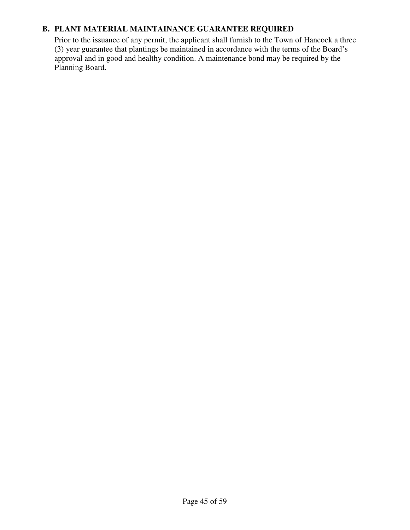### **B. PLANT MATERIAL MAINTAINANCE GUARANTEE REQUIRED**

Prior to the issuance of any permit, the applicant shall furnish to the Town of Hancock a three (3) year guarantee that plantings be maintained in accordance with the terms of the Board's approval and in good and healthy condition. A maintenance bond may be required by the Planning Board.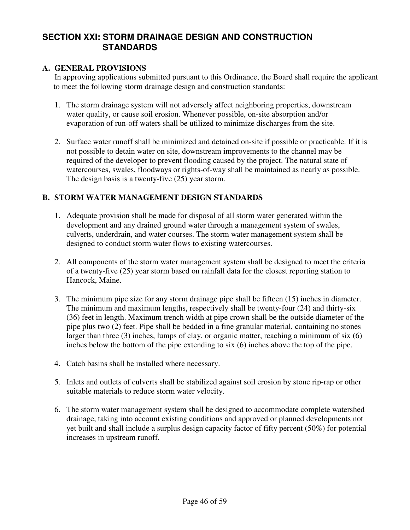# **SECTION XXI: STORM DRAINAGE DESIGN AND CONSTRUCTION STANDARDS**

#### **A. GENERAL PROVISIONS**

 In approving applications submitted pursuant to this Ordinance, the Board shall require the applicant to meet the following storm drainage design and construction standards:

- 1. The storm drainage system will not adversely affect neighboring properties, downstream water quality, or cause soil erosion. Whenever possible, on-site absorption and/or evaporation of run-off waters shall be utilized to minimize discharges from the site.
- 2. Surface water runoff shall be minimized and detained on-site if possible or practicable. If it is not possible to detain water on site, downstream improvements to the channel may be required of the developer to prevent flooding caused by the project. The natural state of watercourses, swales, floodways or rights-of-way shall be maintained as nearly as possible. The design basis is a twenty-five (25) year storm.

### **B. STORM WATER MANAGEMENT DESIGN STANDARDS**

- 1. Adequate provision shall be made for disposal of all storm water generated within the development and any drained ground water through a management system of swales, culverts, underdrain, and water courses. The storm water management system shall be designed to conduct storm water flows to existing watercourses.
- 2. All components of the storm water management system shall be designed to meet the criteria of a twenty-five (25) year storm based on rainfall data for the closest reporting station to Hancock, Maine.
- 3. The minimum pipe size for any storm drainage pipe shall be fifteen (15) inches in diameter. The minimum and maximum lengths, respectively shall be twenty-four (24) and thirty-six (36) feet in length. Maximum trench width at pipe crown shall be the outside diameter of the pipe plus two (2) feet. Pipe shall be bedded in a fine granular material, containing no stones larger than three (3) inches, lumps of clay, or organic matter, reaching a minimum of six (6) inches below the bottom of the pipe extending to six (6) inches above the top of the pipe.
- 4. Catch basins shall be installed where necessary.
- 5. Inlets and outlets of culverts shall be stabilized against soil erosion by stone rip-rap or other suitable materials to reduce storm water velocity.
- 6. The storm water management system shall be designed to accommodate complete watershed drainage, taking into account existing conditions and approved or planned developments not yet built and shall include a surplus design capacity factor of fifty percent (50%) for potential increases in upstream runoff.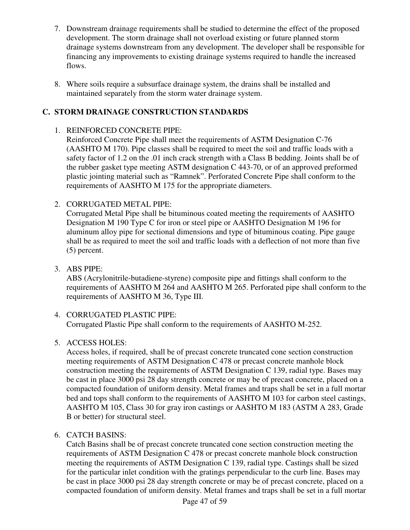- 7. Downstream drainage requirements shall be studied to determine the effect of the proposed development. The storm drainage shall not overload existing or future planned storm drainage systems downstream from any development. The developer shall be responsible for financing any improvements to existing drainage systems required to handle the increased flows.
- 8. Where soils require a subsurface drainage system, the drains shall be installed and maintained separately from the storm water drainage system.

### **C. STORM DRAINAGE CONSTRUCTION STANDARDS**

### 1. REINFORCED CONCRETE PIPE:

Reinforced Concrete Pipe shall meet the requirements of ASTM Designation C-76 (AASHTO M 170). Pipe classes shall be required to meet the soil and traffic loads with a safety factor of 1.2 on the .01 inch crack strength with a Class B bedding. Joints shall be of the rubber gasket type meeting ASTM designation C 443-70, or of an approved preformed plastic jointing material such as "Ramnek". Perforated Concrete Pipe shall conform to the requirements of AASHTO M 175 for the appropriate diameters.

### 2. CORRUGATED METAL PIPE:

Corrugated Metal Pipe shall be bituminous coated meeting the requirements of AASHTO Designation M 190 Type C for iron or steel pipe or AASHTO Designation M 196 for aluminum alloy pipe for sectional dimensions and type of bituminous coating. Pipe gauge shall be as required to meet the soil and traffic loads with a deflection of not more than five (5) percent.

3. ABS PIPE:

ABS (Acrylonitrile-butadiene-styrene) composite pipe and fittings shall conform to the requirements of AASHTO M 264 and AASHTO M 265. Perforated pipe shall conform to the requirements of AASHTO M 36, Type III.

### 4. CORRUGATED PLASTIC PIPE:

Corrugated Plastic Pipe shall conform to the requirements of AASHTO M-252.

### 5. ACCESS HOLES:

Access holes, if required, shall be of precast concrete truncated cone section construction meeting requirements of ASTM Designation C 478 or precast concrete manhole block construction meeting the requirements of ASTM Designation C 139, radial type. Bases may be cast in place 3000 psi 28 day strength concrete or may be of precast concrete, placed on a compacted foundation of uniform density. Metal frames and traps shall be set in a full mortar bed and tops shall conform to the requirements of AASHTO M 103 for carbon steel castings, AASHTO M 105, Class 30 for gray iron castings or AASHTO M 183 (ASTM A 283, Grade B or better) for structural steel.

### 6. CATCH BASINS:

Catch Basins shall be of precast concrete truncated cone section construction meeting the requirements of ASTM Designation C 478 or precast concrete manhole block construction meeting the requirements of ASTM Designation C 139, radial type. Castings shall be sized for the particular inlet condition with the gratings perpendicular to the curb line. Bases may be cast in place 3000 psi 28 day strength concrete or may be of precast concrete, placed on a compacted foundation of uniform density. Metal frames and traps shall be set in a full mortar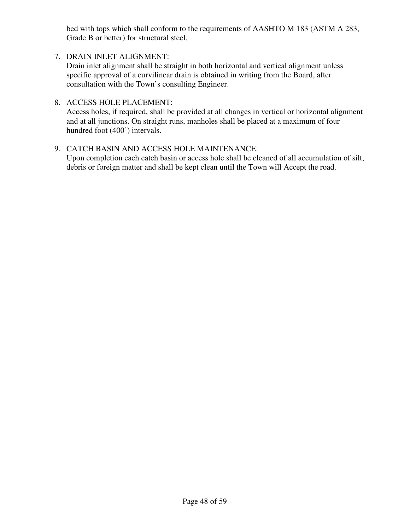bed with tops which shall conform to the requirements of AASHTO M 183 (ASTM A 283, Grade B or better) for structural steel.

- 7. DRAIN INLET ALIGNMENT: Drain inlet alignment shall be straight in both horizontal and vertical alignment unless specific approval of a curvilinear drain is obtained in writing from the Board, after consultation with the Town's consulting Engineer.
- 8. ACCESS HOLE PLACEMENT:

Access holes, if required, shall be provided at all changes in vertical or horizontal alignment and at all junctions. On straight runs, manholes shall be placed at a maximum of four hundred foot (400') intervals.

9. CATCH BASIN AND ACCESS HOLE MAINTENANCE: Upon completion each catch basin or access hole shall be cleaned of all accumulation of silt, debris or foreign matter and shall be kept clean until the Town will Accept the road.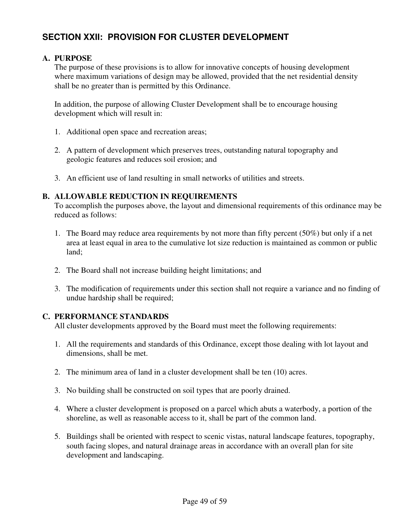# **SECTION XXII: PROVISION FOR CLUSTER DEVELOPMENT**

#### **A. PURPOSE**

The purpose of these provisions is to allow for innovative concepts of housing development where maximum variations of design may be allowed, provided that the net residential density shall be no greater than is permitted by this Ordinance.

In addition, the purpose of allowing Cluster Development shall be to encourage housing development which will result in:

- 1. Additional open space and recreation areas;
- 2. A pattern of development which preserves trees, outstanding natural topography and geologic features and reduces soil erosion; and
- 3. An efficient use of land resulting in small networks of utilities and streets.

#### **B. ALLOWABLE REDUCTION IN REQUIREMENTS**

To accomplish the purposes above, the layout and dimensional requirements of this ordinance may be reduced as follows:

- 1. The Board may reduce area requirements by not more than fifty percent (50%) but only if a net area at least equal in area to the cumulative lot size reduction is maintained as common or public land;
- 2. The Board shall not increase building height limitations; and
- 3. The modification of requirements under this section shall not require a variance and no finding of undue hardship shall be required;

#### **C. PERFORMANCE STANDARDS**

All cluster developments approved by the Board must meet the following requirements:

- 1. All the requirements and standards of this Ordinance, except those dealing with lot layout and dimensions, shall be met.
- 2. The minimum area of land in a cluster development shall be ten (10) acres.
- 3. No building shall be constructed on soil types that are poorly drained.
- 4. Where a cluster development is proposed on a parcel which abuts a waterbody, a portion of the shoreline, as well as reasonable access to it, shall be part of the common land.
- 5. Buildings shall be oriented with respect to scenic vistas, natural landscape features, topography, south facing slopes, and natural drainage areas in accordance with an overall plan for site development and landscaping.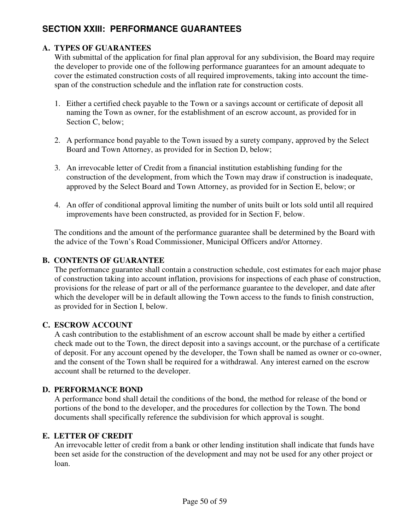# **SECTION XXIII: PERFORMANCE GUARANTEES**

### **A. TYPES OF GUARANTEES**

With submittal of the application for final plan approval for any subdivision, the Board may require the developer to provide one of the following performance guarantees for an amount adequate to cover the estimated construction costs of all required improvements, taking into account the timespan of the construction schedule and the inflation rate for construction costs.

- 1. Either a certified check payable to the Town or a savings account or certificate of deposit all naming the Town as owner, for the establishment of an escrow account, as provided for in Section C, below;
- 2. A performance bond payable to the Town issued by a surety company, approved by the Select Board and Town Attorney, as provided for in Section D, below;
- 3. An irrevocable letter of Credit from a financial institution establishing funding for the construction of the development, from which the Town may draw if construction is inadequate, approved by the Select Board and Town Attorney, as provided for in Section E, below; or
- 4. An offer of conditional approval limiting the number of units built or lots sold until all required improvements have been constructed, as provided for in Section F, below.

The conditions and the amount of the performance guarantee shall be determined by the Board with the advice of the Town's Road Commissioner, Municipal Officers and/or Attorney.

### **B. CONTENTS OF GUARANTEE**

The performance guarantee shall contain a construction schedule, cost estimates for each major phase of construction taking into account inflation, provisions for inspections of each phase of construction, provisions for the release of part or all of the performance guarantee to the developer, and date after which the developer will be in default allowing the Town access to the funds to finish construction, as provided for in Section I, below.

### **C. ESCROW ACCOUNT**

A cash contribution to the establishment of an escrow account shall be made by either a certified check made out to the Town, the direct deposit into a savings account, or the purchase of a certificate of deposit. For any account opened by the developer, the Town shall be named as owner or co-owner, and the consent of the Town shall be required for a withdrawal. Any interest earned on the escrow account shall be returned to the developer.

#### **D. PERFORMANCE BOND**

A performance bond shall detail the conditions of the bond, the method for release of the bond or portions of the bond to the developer, and the procedures for collection by the Town. The bond documents shall specifically reference the subdivision for which approval is sought.

### **E. LETTER OF CREDIT**

An irrevocable letter of credit from a bank or other lending institution shall indicate that funds have been set aside for the construction of the development and may not be used for any other project or loan.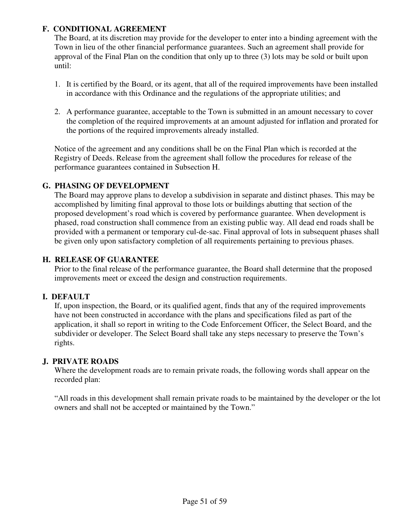### **F. CONDITIONAL AGREEMENT**

The Board, at its discretion may provide for the developer to enter into a binding agreement with the Town in lieu of the other financial performance guarantees. Such an agreement shall provide for approval of the Final Plan on the condition that only up to three (3) lots may be sold or built upon until:

- 1. It is certified by the Board, or its agent, that all of the required improvements have been installed in accordance with this Ordinance and the regulations of the appropriate utilities; and
- 2. A performance guarantee, acceptable to the Town is submitted in an amount necessary to cover the completion of the required improvements at an amount adjusted for inflation and prorated for the portions of the required improvements already installed.

Notice of the agreement and any conditions shall be on the Final Plan which is recorded at the Registry of Deeds. Release from the agreement shall follow the procedures for release of the performance guarantees contained in Subsection H.

### **G. PHASING OF DEVELOPMENT**

The Board may approve plans to develop a subdivision in separate and distinct phases. This may be accomplished by limiting final approval to those lots or buildings abutting that section of the proposed development's road which is covered by performance guarantee. When development is phased, road construction shall commence from an existing public way. All dead end roads shall be provided with a permanent or temporary cul-de-sac. Final approval of lots in subsequent phases shall be given only upon satisfactory completion of all requirements pertaining to previous phases.

### **H. RELEASE OF GUARANTEE**

Prior to the final release of the performance guarantee, the Board shall determine that the proposed improvements meet or exceed the design and construction requirements.

### **I. DEFAULT**

If, upon inspection, the Board, or its qualified agent, finds that any of the required improvements have not been constructed in accordance with the plans and specifications filed as part of the application, it shall so report in writing to the Code Enforcement Officer, the Select Board, and the subdivider or developer. The Select Board shall take any steps necessary to preserve the Town's rights.

### **J. PRIVATE ROADS**

Where the development roads are to remain private roads, the following words shall appear on the recorded plan:

"All roads in this development shall remain private roads to be maintained by the developer or the lot owners and shall not be accepted or maintained by the Town."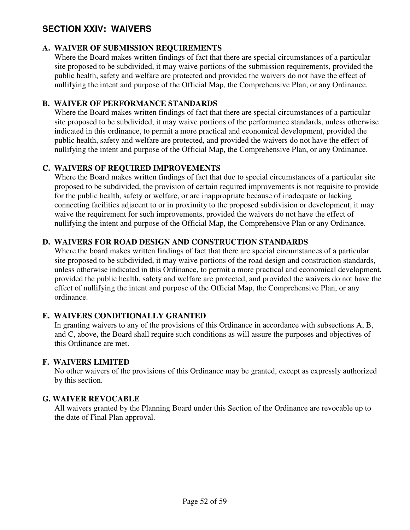# **SECTION XXIV: WAIVERS**

### **A. WAIVER OF SUBMISSION REQUIREMENTS**

Where the Board makes written findings of fact that there are special circumstances of a particular site proposed to be subdivided, it may waive portions of the submission requirements, provided the public health, safety and welfare are protected and provided the waivers do not have the effect of nullifying the intent and purpose of the Official Map, the Comprehensive Plan, or any Ordinance.

### **B. WAIVER OF PERFORMANCE STANDARDS**

Where the Board makes written findings of fact that there are special circumstances of a particular site proposed to be subdivided, it may waive portions of the performance standards, unless otherwise indicated in this ordinance, to permit a more practical and economical development, provided the public health, safety and welfare are protected, and provided the waivers do not have the effect of nullifying the intent and purpose of the Official Map, the Comprehensive Plan, or any Ordinance.

### **C. WAIVERS OF REQUIRED IMPROVEMENTS**

Where the Board makes written findings of fact that due to special circumstances of a particular site proposed to be subdivided, the provision of certain required improvements is not requisite to provide for the public health, safety or welfare, or are inappropriate because of inadequate or lacking connecting facilities adjacent to or in proximity to the proposed subdivision or development, it may waive the requirement for such improvements, provided the waivers do not have the effect of nullifying the intent and purpose of the Official Map, the Comprehensive Plan or any Ordinance.

### **D. WAIVERS FOR ROAD DESIGN AND CONSTRUCTION STANDARDS**

Where the board makes written findings of fact that there are special circumstances of a particular site proposed to be subdivided, it may waive portions of the road design and construction standards, unless otherwise indicated in this Ordinance, to permit a more practical and economical development, provided the public health, safety and welfare are protected, and provided the waivers do not have the effect of nullifying the intent and purpose of the Official Map, the Comprehensive Plan, or any ordinance.

### **E. WAIVERS CONDITIONALLY GRANTED**

In granting waivers to any of the provisions of this Ordinance in accordance with subsections A, B, and C, above, the Board shall require such conditions as will assure the purposes and objectives of this Ordinance are met.

### **F. WAIVERS LIMITED**

No other waivers of the provisions of this Ordinance may be granted, except as expressly authorized by this section.

### **G. WAIVER REVOCABLE**

All waivers granted by the Planning Board under this Section of the Ordinance are revocable up to the date of Final Plan approval.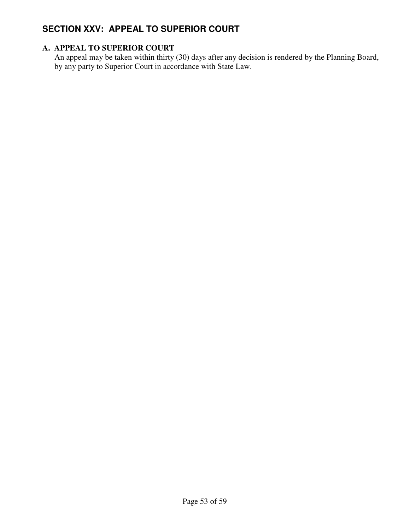# **SECTION XXV: APPEAL TO SUPERIOR COURT**

### **A. APPEAL TO SUPERIOR COURT**

An appeal may be taken within thirty (30) days after any decision is rendered by the Planning Board, by any party to Superior Court in accordance with State Law.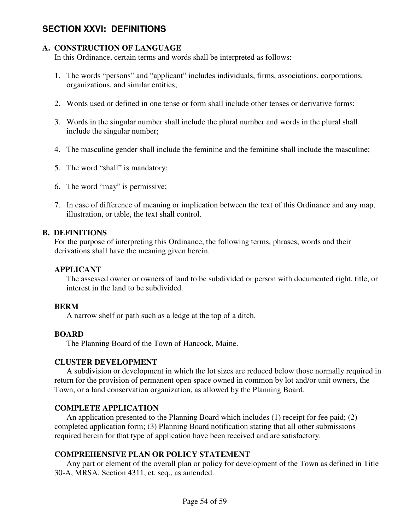# **SECTION XXVI: DEFINITIONS**

### **A. CONSTRUCTION OF LANGUAGE**

In this Ordinance, certain terms and words shall be interpreted as follows:

- 1. The words "persons" and "applicant" includes individuals, firms, associations, corporations, organizations, and similar entities;
- 2. Words used or defined in one tense or form shall include other tenses or derivative forms;
- 3. Words in the singular number shall include the plural number and words in the plural shall include the singular number;
- 4. The masculine gender shall include the feminine and the feminine shall include the masculine;
- 5. The word "shall" is mandatory;
- 6. The word "may" is permissive;
- 7. In case of difference of meaning or implication between the text of this Ordinance and any map, illustration, or table, the text shall control.

#### **B. DEFINITIONS**

For the purpose of interpreting this Ordinance, the following terms, phrases, words and their derivations shall have the meaning given herein.

#### **APPLICANT**

 The assessed owner or owners of land to be subdivided or person with documented right, title, or interest in the land to be subdivided.

#### **BERM**

A narrow shelf or path such as a ledge at the top of a ditch.

#### **BOARD**

The Planning Board of the Town of Hancock, Maine.

#### **CLUSTER DEVELOPMENT**

 A subdivision or development in which the lot sizes are reduced below those normally required in return for the provision of permanent open space owned in common by lot and/or unit owners, the Town, or a land conservation organization, as allowed by the Planning Board.

#### **COMPLETE APPLICATION**

 An application presented to the Planning Board which includes (1) receipt for fee paid; (2) completed application form; (3) Planning Board notification stating that all other submissions required herein for that type of application have been received and are satisfactory.

#### **COMPREHENSIVE PLAN OR POLICY STATEMENT**

 Any part or element of the overall plan or policy for development of the Town as defined in Title 30-A, MRSA, Section 4311, et. seq., as amended.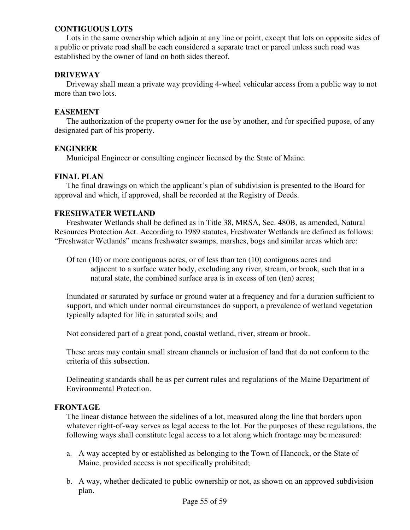#### **CONTIGUOUS LOTS**

 Lots in the same ownership which adjoin at any line or point, except that lots on opposite sides of a public or private road shall be each considered a separate tract or parcel unless such road was established by the owner of land on both sides thereof.

#### **DRIVEWAY**

 Driveway shall mean a private way providing 4-wheel vehicular access from a public way to not more than two lots.

#### **EASEMENT**

 The authorization of the property owner for the use by another, and for specified pupose, of any designated part of his property.

#### **ENGINEER**

Municipal Engineer or consulting engineer licensed by the State of Maine.

### **FINAL PLAN**

 The final drawings on which the applicant's plan of subdivision is presented to the Board for approval and which, if approved, shall be recorded at the Registry of Deeds.

#### **FRESHWATER WETLAND**

 Freshwater Wetlands shall be defined as in Title 38, MRSA, Sec. 480B, as amended, Natural Resources Protection Act. According to 1989 statutes, Freshwater Wetlands are defined as follows: "Freshwater Wetlands" means freshwater swamps, marshes, bogs and similar areas which are:

Of ten (10) or more contiguous acres, or of less than ten (10) contiguous acres and adjacent to a surface water body, excluding any river, stream, or brook, such that in a natural state, the combined surface area is in excess of ten (ten) acres;

Inundated or saturated by surface or ground water at a frequency and for a duration sufficient to support, and which under normal circumstances do support, a prevalence of wetland vegetation typically adapted for life in saturated soils; and

Not considered part of a great pond, coastal wetland, river, stream or brook.

These areas may contain small stream channels or inclusion of land that do not conform to the criteria of this subsection.

Delineating standards shall be as per current rules and regulations of the Maine Department of Environmental Protection.

#### **FRONTAGE**

The linear distance between the sidelines of a lot, measured along the line that borders upon whatever right-of-way serves as legal access to the lot. For the purposes of these regulations, the following ways shall constitute legal access to a lot along which frontage may be measured:

- a. A way accepted by or established as belonging to the Town of Hancock, or the State of Maine, provided access is not specifically prohibited;
- b. A way, whether dedicated to public ownership or not, as shown on an approved subdivision plan.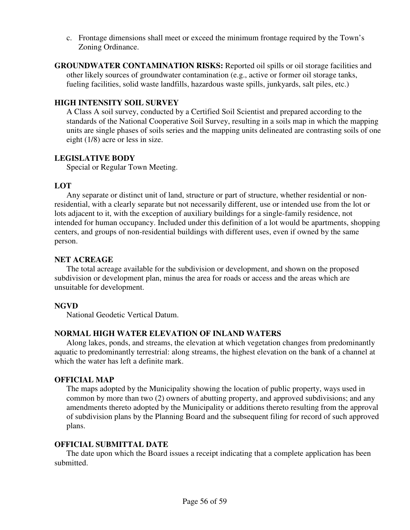c. Frontage dimensions shall meet or exceed the minimum frontage required by the Town's Zoning Ordinance.

**GROUNDWATER CONTAMINATION RISKS:** Reported oil spills or oil storage facilities and other likely sources of groundwater contamination (e.g., active or former oil storage tanks, fueling facilities, solid waste landfills, hazardous waste spills, junkyards, salt piles, etc.)

### **HIGH INTENSITY SOIL SURVEY**

A Class A soil survey, conducted by a Certified Soil Scientist and prepared according to the standards of the National Cooperative Soil Survey, resulting in a soils map in which the mapping units are single phases of soils series and the mapping units delineated are contrasting soils of one eight (1/8) acre or less in size.

### **LEGISLATIVE BODY**

Special or Regular Town Meeting.

### **LOT**

 Any separate or distinct unit of land, structure or part of structure, whether residential or nonresidential, with a clearly separate but not necessarily different, use or intended use from the lot or lots adjacent to it, with the exception of auxiliary buildings for a single-family residence, not intended for human occupancy. Included under this definition of a lot would be apartments, shopping centers, and groups of non-residential buildings with different uses, even if owned by the same person.

### **NET ACREAGE**

 The total acreage available for the subdivision or development, and shown on the proposed subdivision or development plan, minus the area for roads or access and the areas which are unsuitable for development.

### **NGVD**

National Geodetic Vertical Datum.

### **NORMAL HIGH WATER ELEVATION OF INLAND WATERS**

 Along lakes, ponds, and streams, the elevation at which vegetation changes from predominantly aquatic to predominantly terrestrial: along streams, the highest elevation on the bank of a channel at which the water has left a definite mark.

### **OFFICIAL MAP**

The maps adopted by the Municipality showing the location of public property, ways used in common by more than two (2) owners of abutting property, and approved subdivisions; and any amendments thereto adopted by the Municipality or additions thereto resulting from the approval of subdivision plans by the Planning Board and the subsequent filing for record of such approved plans.

### **OFFICIAL SUBMITTAL DATE**

 The date upon which the Board issues a receipt indicating that a complete application has been submitted.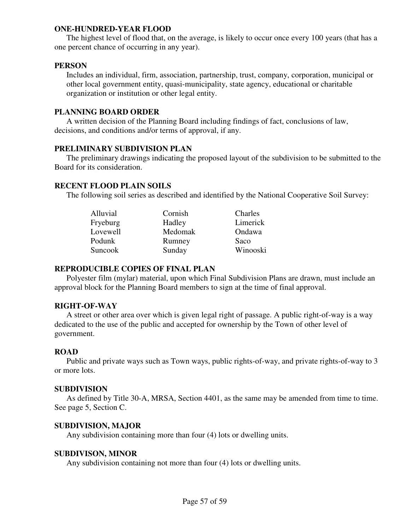#### **ONE-HUNDRED-YEAR FLOOD**

 The highest level of flood that, on the average, is likely to occur once every 100 years (that has a one percent chance of occurring in any year).

#### **PERSON**

 Includes an individual, firm, association, partnership, trust, company, corporation, municipal or other local government entity, quasi-municipality, state agency, educational or charitable organization or institution or other legal entity.

#### **PLANNING BOARD ORDER**

 A written decision of the Planning Board including findings of fact, conclusions of law, decisions, and conditions and/or terms of approval, if any.

#### **PRELIMINARY SUBDIVISION PLAN**

 The preliminary drawings indicating the proposed layout of the subdivision to be submitted to the Board for its consideration.

#### **RECENT FLOOD PLAIN SOILS**

The following soil series as described and identified by the National Cooperative Soil Survey:

| Alluvial | Cornish | Charles  |
|----------|---------|----------|
| Fryeburg | Hadley  | Limerick |
| Lovewell | Medomak | Ondawa   |
| Podunk   | Rumney  | Saco     |
| Suncook  | Sunday  | Winooski |

#### **REPRODUCIBLE COPIES OF FINAL PLAN**

 Polyester film (mylar) material, upon which Final Subdivision Plans are drawn, must include an approval block for the Planning Board members to sign at the time of final approval.

#### **RIGHT-OF-WAY**

 A street or other area over which is given legal right of passage. A public right-of-way is a way dedicated to the use of the public and accepted for ownership by the Town of other level of government.

#### **ROAD**

 Public and private ways such as Town ways, public rights-of-way, and private rights-of-way to 3 or more lots.

#### **SUBDIVISION**

 As defined by Title 30-A, MRSA, Section 4401, as the same may be amended from time to time. See page 5, Section C.

#### **SUBDIVISION, MAJOR**

Any subdivision containing more than four (4) lots or dwelling units.

#### **SUBDIVISON, MINOR**

Any subdivision containing not more than four (4) lots or dwelling units.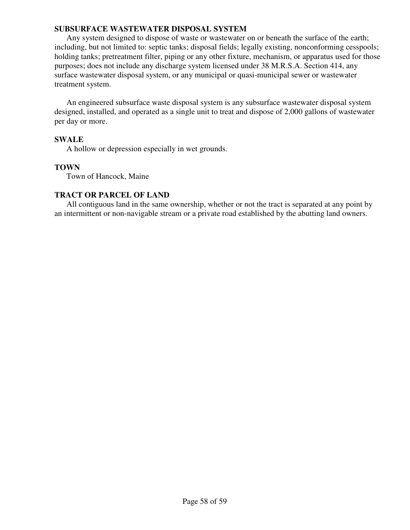#### **SUBSURFACE WASTEWATER DISPOSAL SYSTEM**

Any system designed to dispose of waste or wastewater on or beneath the surface of the earth; including, but not limited to: septic tanks; disposal fields; legally existing, nonconforming cesspools; holding tanks; pretreatment filter, piping or any other fixture, mechanism, or apparatus used for those purposes; does not include any discharge system licensed under 38 M.R.S.A. Section 414, any surface wastewater disposal system, or any municipal or quasi-municipal sewer or wastewater treatment system.

An engineered subsurface waste disposal system is any subsurface wastewater disposal system designed, installed, and operated as a single unit to treat and dispose of 2,000 gallons of wastewater per day or more.

#### **SWALE**

A hollow or depression especially in wet grounds.

#### **TOWN**

Town of Hancock, Maine

### **TRACT OR PARCEL OF LAND**

 All contiguous land in the same ownership, whether or not the tract is separated at any point by an intermittent or non-navigable stream or a private road established by the abutting land owners.